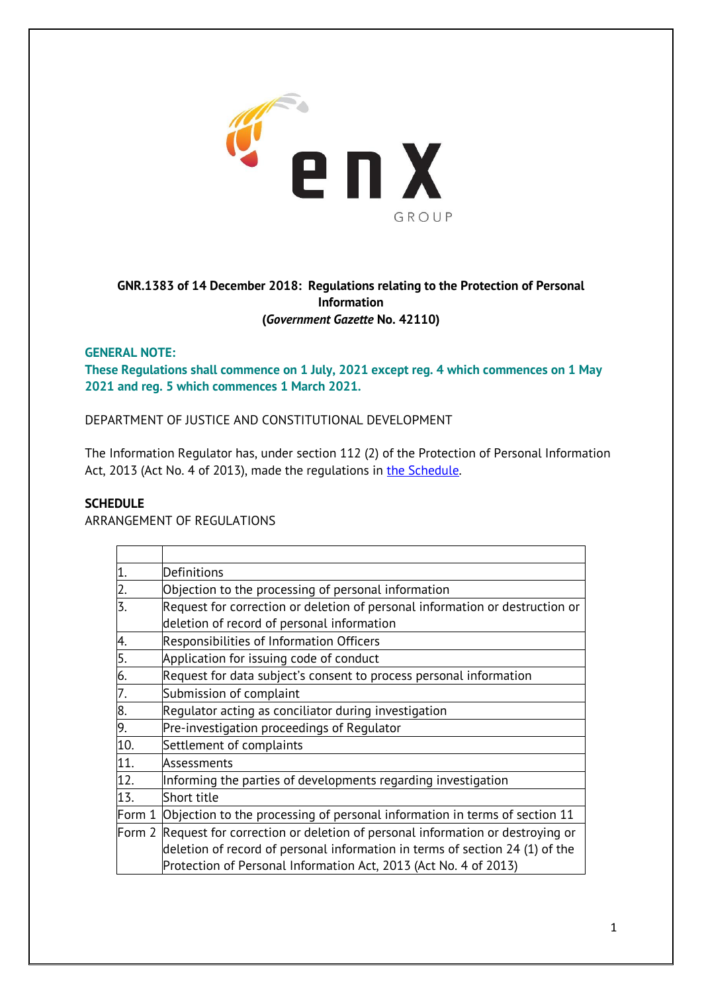

# **GNR.1383 of 14 December 2018: Regulations relating to the Protection of Personal Information (***Government Gazette* **No. 42110)**

## **GENERAL NOTE:**

**These Regulations shall commence on 1 July, 2021 except reg. 4 which commences on 1 May 2021 and reg. 5 which commences 1 March 2021.**

DEPARTMENT OF JUSTICE AND CONSTITUTIONAL DEVELOPMENT

The Information Regulator has, under section 112 (2) of the Protection of Personal Information Act, 2013 (Act No. 4 of 2013), made the regulations in the Schedule.

### **SCHEDULE**

ARRANGEMENT OF REGULATIONS

|                                    | Definitions                                                                        |
|------------------------------------|------------------------------------------------------------------------------------|
| $\frac{1}{2}$ .<br>$\frac{2}{3}$ . | Objection to the processing of personal information                                |
|                                    | Request for correction or deletion of personal information or destruction or       |
|                                    | deletion of record of personal information                                         |
| 4.                                 | <b>Responsibilities of Information Officers</b>                                    |
| $\frac{5.6}{6.7.8}$<br>9.          | Application for issuing code of conduct                                            |
|                                    | Request for data subject's consent to process personal information                 |
|                                    | Submission of complaint                                                            |
|                                    | Regulator acting as conciliator during investigation                               |
|                                    | Pre-investigation proceedings of Regulator                                         |
| 10.                                | Settlement of complaints                                                           |
| 11.                                | Assessments                                                                        |
| $\overline{12}$ .                  | Informing the parties of developments regarding investigation                      |
| 13.                                | Short title                                                                        |
| Form 1                             | Objection to the processing of personal information in terms of section 11         |
|                                    | Form 2 Request for correction or deletion of personal information or destroying or |
|                                    | deletion of record of personal information in terms of section 24 (1) of the       |
|                                    | Protection of Personal Information Act, 2013 (Act No. 4 of 2013)                   |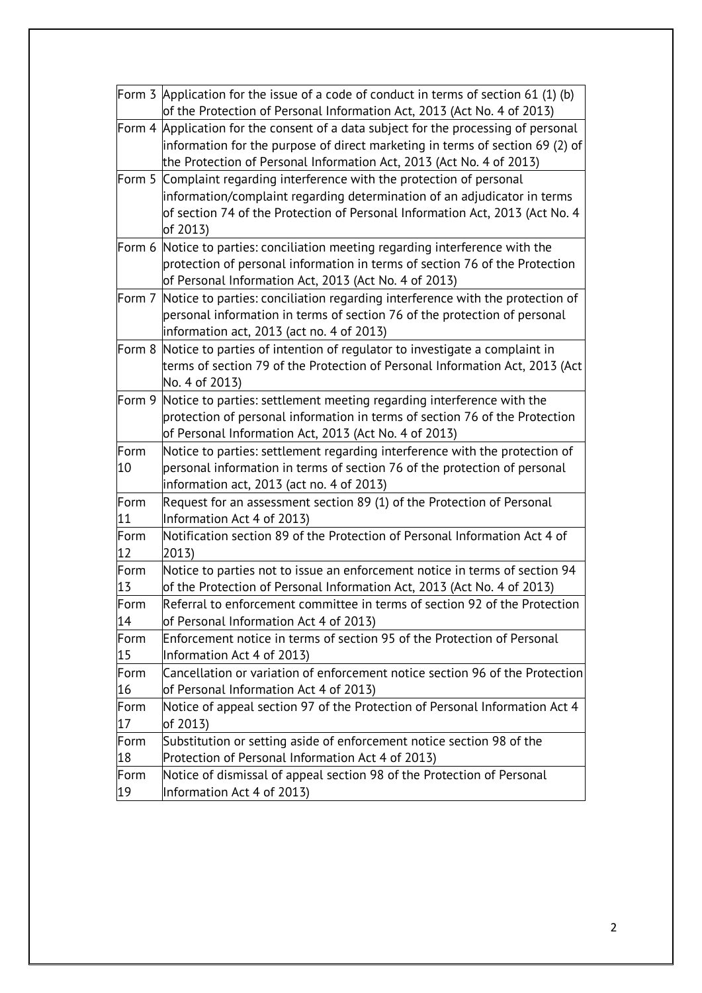|        | Form 3 Application for the issue of a code of conduct in terms of section 61 (1) (b)<br>of the Protection of Personal Information Act, 2013 (Act No. 4 of 2013)                                                                              |
|--------|----------------------------------------------------------------------------------------------------------------------------------------------------------------------------------------------------------------------------------------------|
|        | Form 4 Application for the consent of a data subject for the processing of personal<br>information for the purpose of direct marketing in terms of section 69 (2) of<br>the Protection of Personal Information Act, 2013 (Act No. 4 of 2013) |
| Form 5 | Complaint regarding interference with the protection of personal                                                                                                                                                                             |
|        | information/complaint regarding determination of an adjudicator in terms                                                                                                                                                                     |
|        | of section 74 of the Protection of Personal Information Act, 2013 (Act No. 4<br>of 2013)                                                                                                                                                     |
|        | Form 6 Notice to parties: conciliation meeting regarding interference with the                                                                                                                                                               |
|        | protection of personal information in terms of section 76 of the Protection                                                                                                                                                                  |
|        | of Personal Information Act, 2013 (Act No. 4 of 2013)                                                                                                                                                                                        |
| Form 7 | Notice to parties: conciliation regarding interference with the protection of                                                                                                                                                                |
|        | personal information in terms of section 76 of the protection of personal                                                                                                                                                                    |
|        | information act, 2013 (act no. 4 of 2013)                                                                                                                                                                                                    |
| Form 8 | Notice to parties of intention of regulator to investigate a complaint in                                                                                                                                                                    |
|        | terms of section 79 of the Protection of Personal Information Act, 2013 (Act                                                                                                                                                                 |
|        | No. 4 of 2013)                                                                                                                                                                                                                               |
| Form 9 | Notice to parties: settlement meeting regarding interference with the                                                                                                                                                                        |
|        | protection of personal information in terms of section 76 of the Protection                                                                                                                                                                  |
|        | of Personal Information Act, 2013 (Act No. 4 of 2013)                                                                                                                                                                                        |
| Form   | Notice to parties: settlement regarding interference with the protection of                                                                                                                                                                  |
| 10     | personal information in terms of section 76 of the protection of personal                                                                                                                                                                    |
|        | information act, 2013 (act no. 4 of 2013)                                                                                                                                                                                                    |
| Form   | Request for an assessment section 89 (1) of the Protection of Personal                                                                                                                                                                       |
| 11     | Information Act 4 of 2013)                                                                                                                                                                                                                   |
| Form   | Notification section 89 of the Protection of Personal Information Act 4 of                                                                                                                                                                   |
| 12     | 2013)                                                                                                                                                                                                                                        |
| Form   | Notice to parties not to issue an enforcement notice in terms of section 94                                                                                                                                                                  |
| 13     | of the Protection of Personal Information Act, 2013 (Act No. 4 of 2013)                                                                                                                                                                      |
| Form   | Referral to enforcement committee in terms of section 92 of the Protection                                                                                                                                                                   |
| 14     | of Personal Information Act 4 of 2013)                                                                                                                                                                                                       |
| Form   | Enforcement notice in terms of section 95 of the Protection of Personal                                                                                                                                                                      |
| 15     | Information Act 4 of 2013)                                                                                                                                                                                                                   |
| Form   | Cancellation or variation of enforcement notice section 96 of the Protection                                                                                                                                                                 |
| 16     | of Personal Information Act 4 of 2013)                                                                                                                                                                                                       |
| Form   | Notice of appeal section 97 of the Protection of Personal Information Act 4                                                                                                                                                                  |
| 17     | of 2013)                                                                                                                                                                                                                                     |
| Form   | Substitution or setting aside of enforcement notice section 98 of the                                                                                                                                                                        |
| 18     | Protection of Personal Information Act 4 of 2013)                                                                                                                                                                                            |
| Form   | Notice of dismissal of appeal section 98 of the Protection of Personal                                                                                                                                                                       |
| 19     | Information Act 4 of 2013)                                                                                                                                                                                                                   |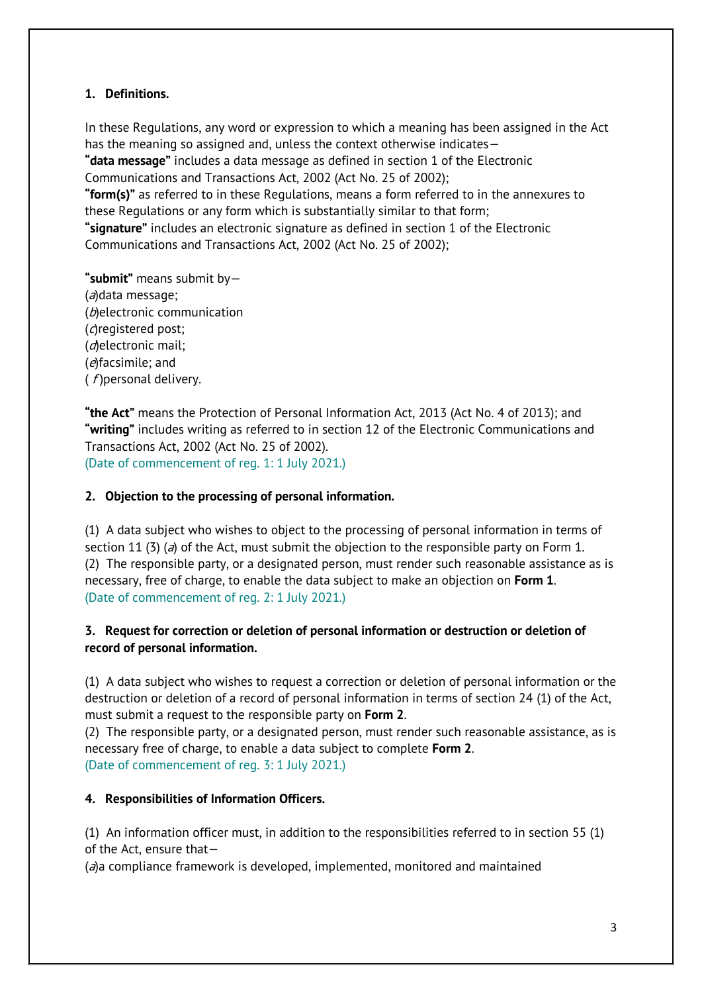# **1. Definitions.**

In these Regulations, any word or expression to which a meaning has been assigned in the Act has the meaning so assigned and, unless the context otherwise indicates— **"data message"** includes a data message as defined in section 1 of the Electronic Communications and Transactions Act, 2002 (Act No. 25 of 2002); **"form(s)"** as referred to in these Regulations, means a form referred to in the annexures to these Regulations or any form which is substantially similar to that form; **"signature"** includes an electronic signature as defined in section 1 of the Electronic Communications and Transactions Act, 2002 (Act No. 25 of 2002);

**"submit"** means submit by— (a)data message; (b)electronic communication (c)registered post; (d)electronic mail; (e)facsimile; and  $(f)$ personal delivery.

**"the Act"** means the Protection of Personal Information Act, 2013 (Act No. 4 of 2013); and **"writing"** includes writing as referred to in section 12 of the Electronic Communications and Transactions Act, 2002 (Act No. 25 of 2002). (Date of commencement of reg. 1: 1 July 2021.)

# **2. Objection to the processing of personal information.**

(1) A data subject who wishes to object to the processing of personal information in terms of section 11 (3) (a) of the Act, must submit the objection to the responsible party on Form 1. (2) The responsible party, or a designated person, must render such reasonable assistance as is necessary, free of charge, to enable the data subject to make an objection on **Form 1**. (Date of commencement of reg. 2: 1 July 2021.)

# **3. Request for correction or deletion of personal information or destruction or deletion of record of personal information.**

(1) A data subject who wishes to request a correction or deletion of personal information or the destruction or deletion of a record of personal information in terms of section 24 (1) of the Act, must submit a request to the responsible party on **Form 2**.

(2) The responsible party, or a designated person, must render such reasonable assistance, as is necessary free of charge, to enable a data subject to complete **Form 2**. (Date of commencement of reg. 3: 1 July 2021.)

# **4. Responsibilities of Information Officers.**

(1) An information officer must, in addition to the responsibilities referred to in section 55 (1) of the Act, ensure that—

 $(a)$ a compliance framework is developed, implemented, monitored and maintained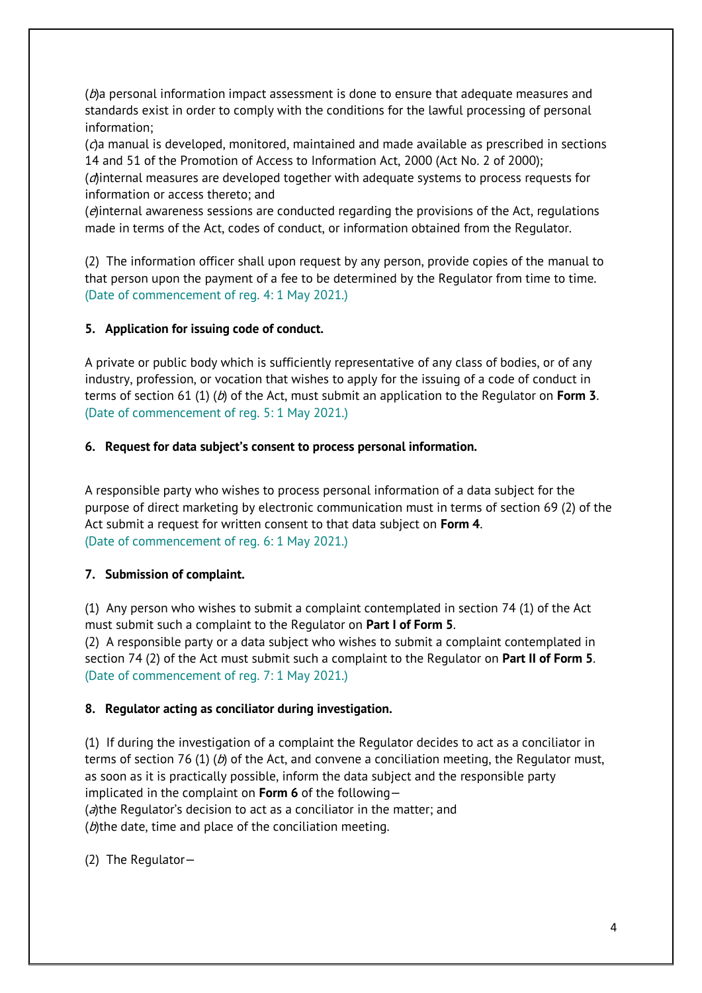$(b)$ a personal information impact assessment is done to ensure that adequate measures and standards exist in order to comply with the conditions for the lawful processing of personal information;

(c)a manual is developed, monitored, maintained and made available as prescribed in sections 14 and 51 of the Promotion of Access to Information Act, 2000 (Act No. 2 of 2000);

(d)internal measures are developed together with adequate systems to process requests for information or access thereto; and

(e)internal awareness sessions are conducted regarding the provisions of the Act, regulations made in terms of the Act, codes of conduct, or information obtained from the Regulator.

(2) The information officer shall upon request by any person, provide copies of the manual to that person upon the payment of a fee to be determined by the Regulator from time to time. (Date of commencement of reg. 4: 1 May 2021.)

### **5. Application for issuing code of conduct.**

A private or public body which is sufficiently representative of any class of bodies, or of any industry, profession, or vocation that wishes to apply for the issuing of a code of conduct in terms of section 61 (1) (b) of the Act, must submit an application to the Regulator on **Form 3**. (Date of commencement of reg. 5: 1 May 2021.)

### **6. Request for data subject's consent to process personal information.**

A responsible party who wishes to process personal information of a data subject for the purpose of direct marketing by electronic communication must in terms of section 69 (2) of the Act submit a request for written consent to that data subject on **Form 4**. (Date of commencement of reg. 6: 1 May 2021.)

### **7. Submission of complaint.**

(1) Any person who wishes to submit a complaint contemplated in section 74 (1) of the Act must submit such a complaint to the Regulator on **Part I of Form 5**.

(2) A responsible party or a data subject who wishes to submit a complaint contemplated in section 74 (2) of the Act must submit such a complaint to the Regulator on **Part II of Form 5**. (Date of commencement of reg. 7: 1 May 2021.)

#### **8. Regulator acting as conciliator during investigation.**

(1) If during the investigation of a complaint the Regulator decides to act as a conciliator in terms of section 76 (1) (b) of the Act, and convene a conciliation meeting, the Regulator must, as soon as it is practically possible, inform the data subject and the responsible party implicated in the complaint on **Form 6** of the following— (a)the Regulator's decision to act as a conciliator in the matter; and ( $b$ )the date, time and place of the conciliation meeting.

(2) The Regulator—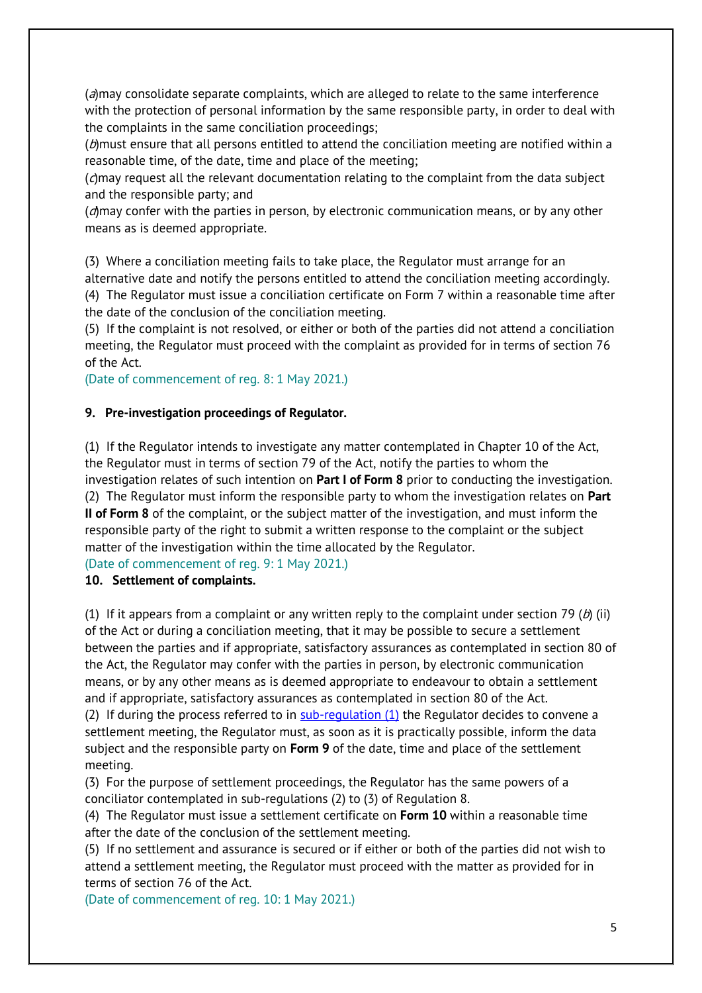$(a)$ may consolidate separate complaints, which are alleged to relate to the same interference with the protection of personal information by the same responsible party, in order to deal with the complaints in the same conciliation proceedings;

 $(b)$ must ensure that all persons entitled to attend the conciliation meeting are notified within a reasonable time, of the date, time and place of the meeting;

(c)may request all the relevant documentation relating to the complaint from the data subject and the responsible party; and

(d)may confer with the parties in person, by electronic communication means, or by any other means as is deemed appropriate.

(3) Where a conciliation meeting fails to take place, the Regulator must arrange for an alternative date and notify the persons entitled to attend the conciliation meeting accordingly. (4) The Regulator must issue a conciliation certificate on Form 7 within a reasonable time after the date of the conclusion of the conciliation meeting.

(5) If the complaint is not resolved, or either or both of the parties did not attend a conciliation meeting, the Regulator must proceed with the complaint as provided for in terms of section 76 of the Act.

(Date of commencement of reg. 8: 1 May 2021.)

#### **9. Pre-investigation proceedings of Regulator.**

(1) If the Regulator intends to investigate any matter contemplated in Chapter 10 of the Act, the Regulator must in terms of section 79 of the Act, notify the parties to whom the investigation relates of such intention on **Part I of Form 8** prior to conducting the investigation. (2) The Regulator must inform the responsible party to whom the investigation relates on **Part II of Form 8** of the complaint, or the subject matter of the investigation, and must inform the responsible party of the right to submit a written response to the complaint or the subject matter of the investigation within the time allocated by the Regulator.

(Date of commencement of reg. 9: 1 May 2021.)

#### **10. Settlement of complaints.**

(1) If it appears from a complaint or any written reply to the complaint under section 79 (b) (ii) of the Act or during a conciliation meeting, that it may be possible to secure a settlement between the parties and if appropriate, satisfactory assurances as contemplated in section 80 of the Act, the Regulator may confer with the parties in person, by electronic communication means, or by any other means as is deemed appropriate to endeavour to obtain a settlement and if appropriate, satisfactory assurances as contemplated in section 80 of the Act.

(2) If during the process referred to in  $sub-requlation (1)$  the Regulator decides to convene a settlement meeting, the Regulator must, as soon as it is practically possible, inform the data subject and the responsible party on **Form 9** of the date, time and place of the settlement meeting.

(3) For the purpose of settlement proceedings, the Regulator has the same powers of a conciliator contemplated in sub-regulations (2) to (3) of Regulation 8.

(4) The Regulator must issue a settlement certificate on **Form 10** within a reasonable time after the date of the conclusion of the settlement meeting.

(5) If no settlement and assurance is secured or if either or both of the parties did not wish to attend a settlement meeting, the Regulator must proceed with the matter as provided for in terms of section 76 of the Act.

(Date of commencement of reg. 10: 1 May 2021.)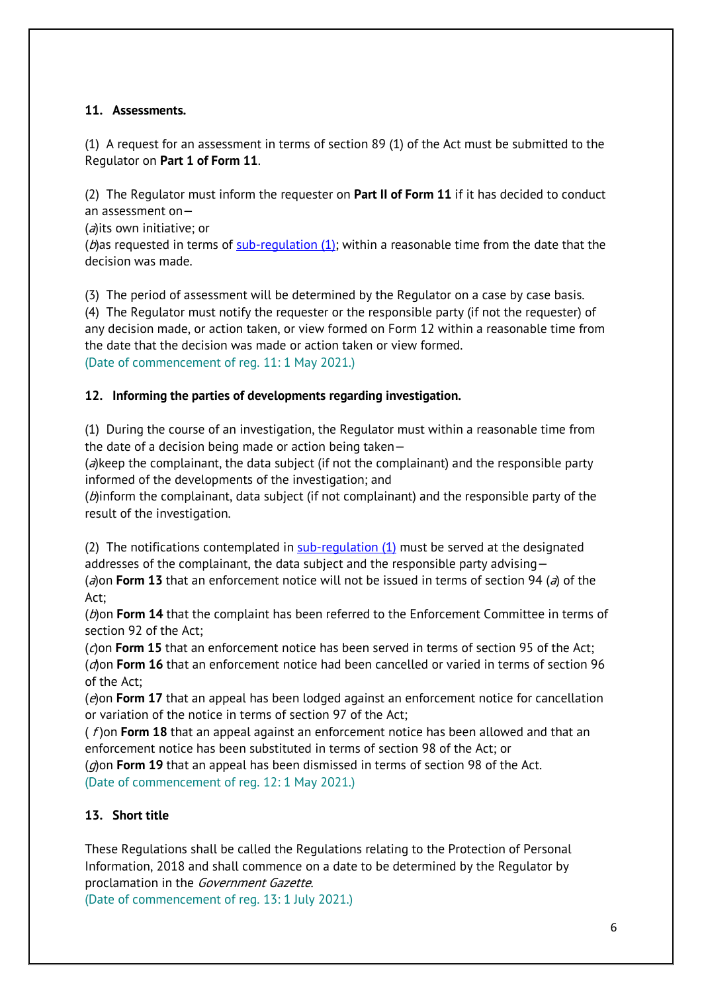# **11. Assessments.**

(1) A request for an assessment in terms of section 89 (1) of the Act must be submitted to the Regulator on **Part 1 of Form 11**.

(2) The Regulator must inform the requester on **Part II of Form 11** if it has decided to conduct an assessment on—

(a) its own initiative; or

( $b$ ) as requested in terms of sub-regulation (1); within a reasonable time from the date that the decision was made.

(3) The period of assessment will be determined by the Regulator on a case by case basis. (4) The Regulator must notify the requester or the responsible party (if not the requester) of any decision made, or action taken, or view formed on Form 12 within a reasonable time from the date that the decision was made or action taken or view formed. (Date of commencement of reg. 11: 1 May 2021.)

# **12. Informing the parties of developments regarding investigation.**

(1) During the course of an investigation, the Regulator must within a reasonable time from the date of a decision being made or action being taken—

 $(a)$ keep the complainant, the data subject (if not the complainant) and the responsible party informed of the developments of the investigation; and

( $\theta$ )inform the complainant, data subject (if not complainant) and the responsible party of the result of the investigation.

(2) The notifications contemplated in  $sub-regulation (1)$  must be served at the designated addresses of the complainant, the data subject and the responsible party advising—

(a) on **Form 13** that an enforcement notice will not be issued in terms of section 94 (a) of the Act;

(b)on **Form 14** that the complaint has been referred to the Enforcement Committee in terms of section 92 of the Act;

(c) on **Form 15** that an enforcement notice has been served in terms of section 95 of the Act; (d)on **Form 16** that an enforcement notice had been cancelled or varied in terms of section 96 of the Act;

(e)on **Form 17** that an appeal has been lodged against an enforcement notice for cancellation or variation of the notice in terms of section 97 of the Act;

( f) on **Form 18** that an appeal against an enforcement notice has been allowed and that an enforcement notice has been substituted in terms of section 98 of the Act; or (g)on **Form 19** that an appeal has been dismissed in terms of section 98 of the Act.

(Date of commencement of reg. 12: 1 May 2021.)

# **13. Short title**

These Regulations shall be called the Regulations relating to the Protection of Personal Information, 2018 and shall commence on a date to be determined by the Regulator by proclamation in the Government Gazette.

(Date of commencement of reg. 13: 1 July 2021.)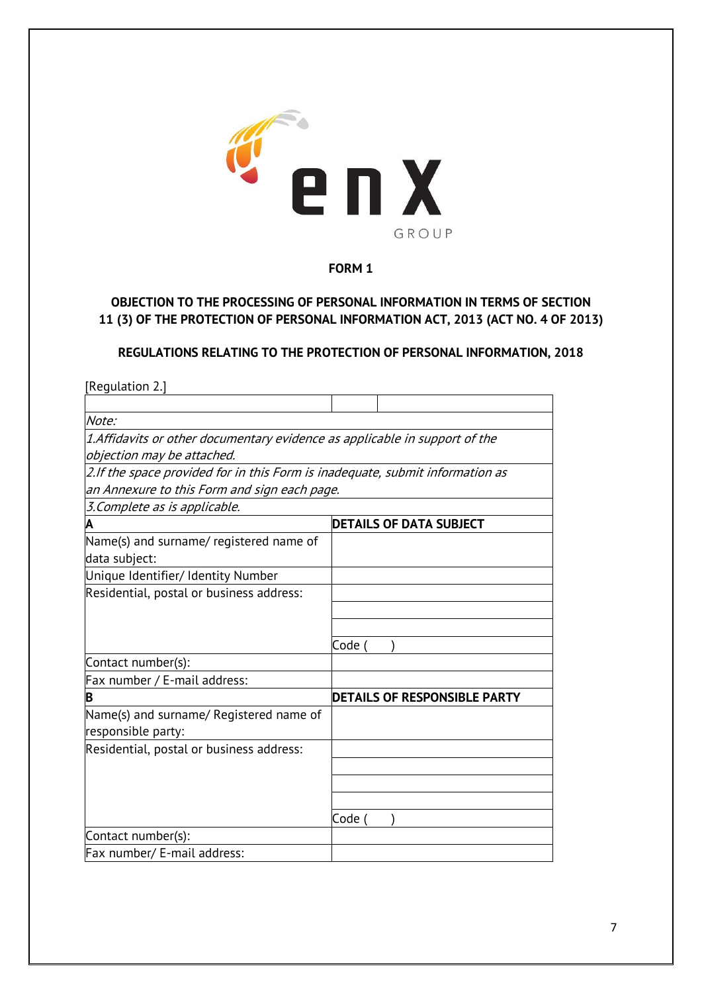

# **OBJECTION TO THE PROCESSING OF PERSONAL INFORMATION IN TERMS OF SECTION 11 (3) OF THE PROTECTION OF PERSONAL INFORMATION ACT, 2013 (ACT NO. 4 OF 2013)**

### **REGULATIONS RELATING TO THE PROTECTION OF PERSONAL INFORMATION, 2018**

| [Regulation 2.]                                                               |                                     |
|-------------------------------------------------------------------------------|-------------------------------------|
|                                                                               |                                     |
| Note:                                                                         |                                     |
| 1.Affidavits or other documentary evidence as applicable in support of the    |                                     |
| objection may be attached.                                                    |                                     |
| 2.If the space provided for in this Form is inadequate, submit information as |                                     |
| an Annexure to this Form and sign each page.                                  |                                     |
| 3. Complete as is applicable.                                                 |                                     |
| Α                                                                             | <b>DETAILS OF DATA SUBJECT</b>      |
| Name(s) and surname/ registered name of                                       |                                     |
| data subject:                                                                 |                                     |
| Unique Identifier/ Identity Number                                            |                                     |
| Residential, postal or business address:                                      |                                     |
|                                                                               |                                     |
|                                                                               |                                     |
|                                                                               | Code (                              |
| Contact number(s):                                                            |                                     |
| Fax number / E-mail address:                                                  |                                     |
| B                                                                             | <b>DETAILS OF RESPONSIBLE PARTY</b> |
| Name(s) and surname/ Registered name of                                       |                                     |
| responsible party:                                                            |                                     |
| Residential, postal or business address:                                      |                                     |
|                                                                               |                                     |
|                                                                               |                                     |
|                                                                               |                                     |
|                                                                               | Code                                |
| Contact number(s):                                                            |                                     |
| Fax number/ E-mail address:                                                   |                                     |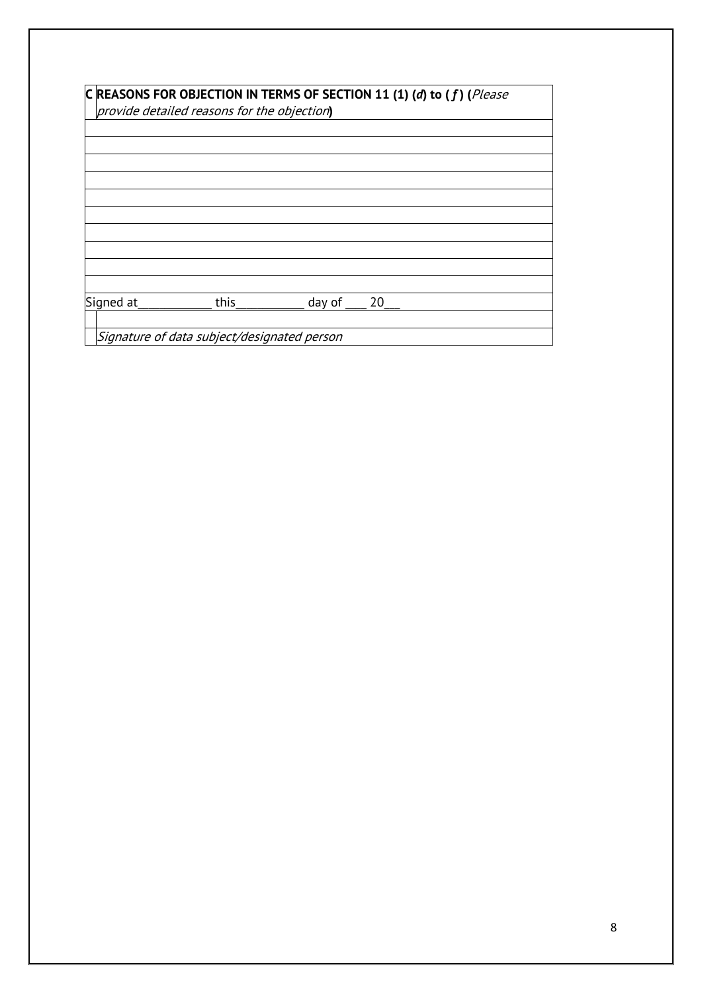| C REASONS FOR OBJECTION IN TERMS OF SECTION 11 (1) (d) to (f) (Please<br>provide detailed reasons for the objection) |      |        |    |  |
|----------------------------------------------------------------------------------------------------------------------|------|--------|----|--|
|                                                                                                                      |      |        |    |  |
|                                                                                                                      |      |        |    |  |
|                                                                                                                      |      |        |    |  |
|                                                                                                                      |      |        |    |  |
|                                                                                                                      |      |        |    |  |
|                                                                                                                      |      |        |    |  |
|                                                                                                                      |      |        |    |  |
|                                                                                                                      |      |        |    |  |
|                                                                                                                      |      |        |    |  |
|                                                                                                                      |      |        |    |  |
| Signed at                                                                                                            | this | day of | 20 |  |
|                                                                                                                      |      |        |    |  |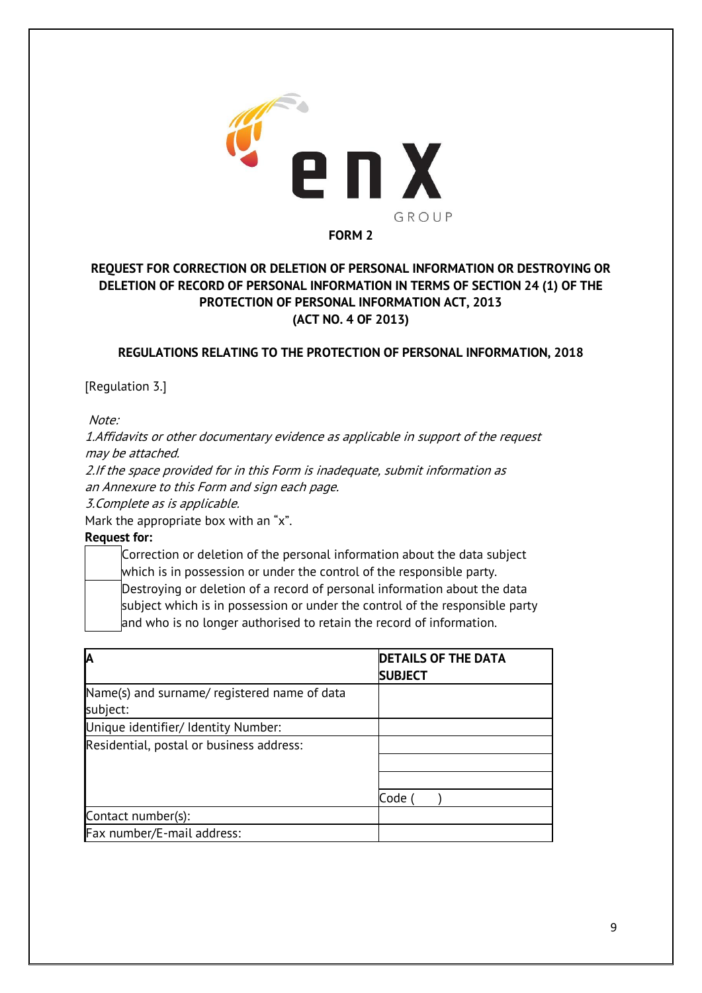

# **REQUEST FOR CORRECTION OR DELETION OF PERSONAL INFORMATION OR DESTROYING OR DELETION OF RECORD OF PERSONAL INFORMATION IN TERMS OF SECTION 24 (1) OF THE PROTECTION OF PERSONAL INFORMATION ACT, 2013 (ACT NO. 4 OF 2013)**

## **REGULATIONS RELATING TO THE PROTECTION OF PERSONAL INFORMATION, 2018**

[Regulation 3.]

Note:

1.Affidavits or other documentary evidence as applicable in support of the request may be attached.

2.If the space provided for in this Form is inadequate, submit information as an Annexure to this Form and sign each page.

3.Complete as is applicable.

Mark the appropriate box with an "x".

**Request for:**

Correction or deletion of the personal information about the data subject which is in possession or under the control of the responsible party. Destroying or deletion of a record of personal information about the data subject which is in possession or under the control of the responsible party and who is no longer authorised to retain the record of information.

| İΑ                                           | <b>DETAILS OF THE DATA</b><br><b>SUBJECT</b> |
|----------------------------------------------|----------------------------------------------|
| Name(s) and surname/ registered name of data |                                              |
| subject:                                     |                                              |
| Unique identifier/ Identity Number:          |                                              |
| Residential, postal or business address:     |                                              |
|                                              |                                              |
|                                              |                                              |
|                                              | Code                                         |
| Contact number(s):                           |                                              |
| Fax number/E-mail address:                   |                                              |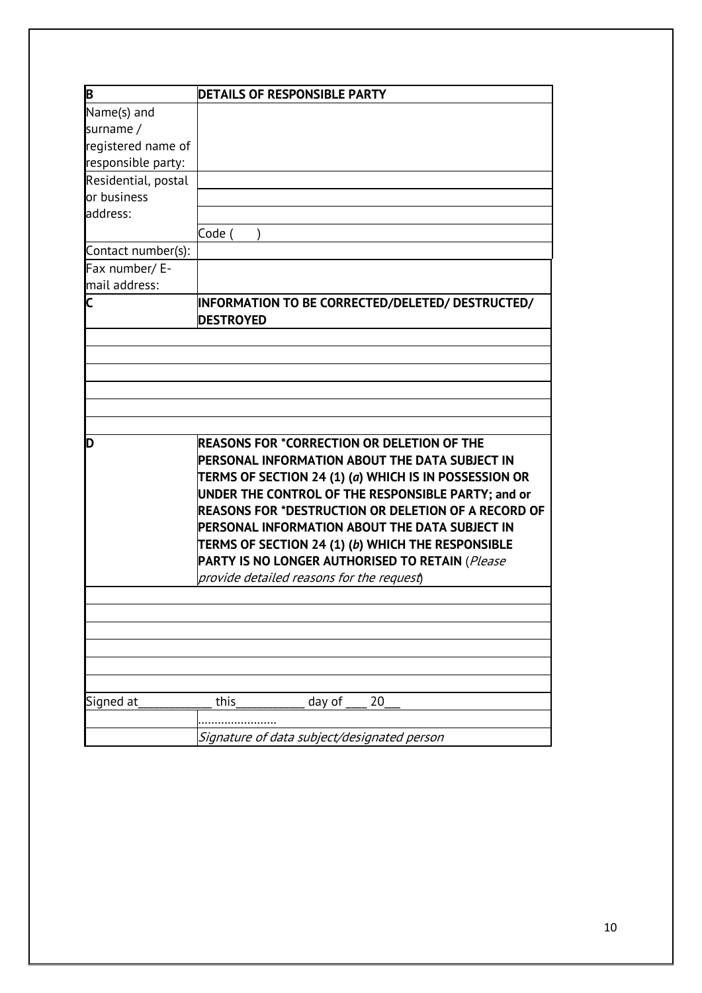| B                   | <b>DETAILS OF RESPONSIBLE PARTY</b>                                                                 |
|---------------------|-----------------------------------------------------------------------------------------------------|
| Name(s) and         |                                                                                                     |
| surname /           |                                                                                                     |
| registered name of  |                                                                                                     |
| responsible party:  |                                                                                                     |
| Residential, postal |                                                                                                     |
| or business         |                                                                                                     |
| address:            |                                                                                                     |
|                     | Code (                                                                                              |
| Contact number(s):  |                                                                                                     |
| Fax number/ E-      |                                                                                                     |
| mail address:       |                                                                                                     |
| C                   | INFORMATION TO BE CORRECTED/DELETED/ DESTRUCTED/<br><b>DESTROYED</b>                                |
|                     |                                                                                                     |
|                     |                                                                                                     |
|                     |                                                                                                     |
|                     |                                                                                                     |
|                     |                                                                                                     |
|                     |                                                                                                     |
| D                   | <b>REASONS FOR *CORRECTION OR DELETION OF THE</b><br>PERSONAL INFORMATION ABOUT THE DATA SUBJECT IN |
|                     | TERMS OF SECTION 24 (1) (a) WHICH IS IN POSSESSION OR                                               |
|                     | UNDER THE CONTROL OF THE RESPONSIBLE PARTY; and or                                                  |
|                     | REASONS FOR *DESTRUCTION OR DELETION OF A RECORD OF                                                 |
|                     | PERSONAL INFORMATION ABOUT THE DATA SUBJECT IN                                                      |
|                     | TERMS OF SECTION 24 (1) (b) WHICH THE RESPONSIBLE                                                   |
|                     | PARTY IS NO LONGER AUTHORISED TO RETAIN (Please                                                     |
|                     | provide detailed reasons for the request)                                                           |
|                     |                                                                                                     |
|                     |                                                                                                     |
|                     |                                                                                                     |
|                     |                                                                                                     |
|                     |                                                                                                     |
|                     |                                                                                                     |
| Signed at           | this<br>day of<br>20                                                                                |
|                     |                                                                                                     |
|                     | Signature of data subject/designated person                                                         |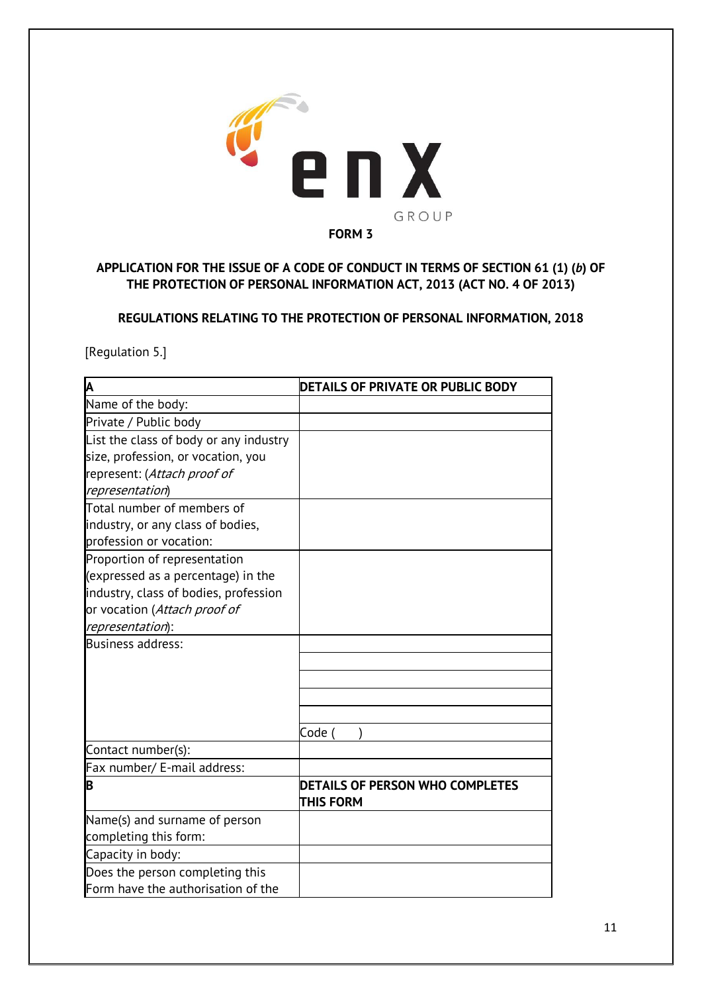

# **APPLICATION FOR THE ISSUE OF A CODE OF CONDUCT IN TERMS OF SECTION 61 (1) (***b***) OF THE PROTECTION OF PERSONAL INFORMATION ACT, 2013 (ACT NO. 4 OF 2013)**

**REGULATIONS RELATING TO THE PROTECTION OF PERSONAL INFORMATION, 2018**

[Regulation 5.]

| A                                      | DETAILS OF PRIVATE OR PUBLIC BODY      |
|----------------------------------------|----------------------------------------|
| Name of the body:                      |                                        |
| Private / Public body                  |                                        |
| List the class of body or any industry |                                        |
| size, profession, or vocation, you     |                                        |
| represent: (Attach proof of            |                                        |
| representation)                        |                                        |
| Total number of members of             |                                        |
| industry, or any class of bodies,      |                                        |
| profession or vocation:                |                                        |
| Proportion of representation           |                                        |
| (expressed as a percentage) in the     |                                        |
| industry, class of bodies, profession  |                                        |
| or vocation (Attach proof of           |                                        |
| representation):                       |                                        |
| <b>Business address:</b>               |                                        |
|                                        |                                        |
|                                        |                                        |
|                                        |                                        |
|                                        |                                        |
|                                        | Code (                                 |
| Contact number(s):                     |                                        |
| Fax number/ E-mail address:            |                                        |
| B                                      | <b>DETAILS OF PERSON WHO COMPLETES</b> |
|                                        | <b>THIS FORM</b>                       |
| Name(s) and surname of person          |                                        |
| completing this form:                  |                                        |
| Capacity in body:                      |                                        |
| Does the person completing this        |                                        |
| Form have the authorisation of the     |                                        |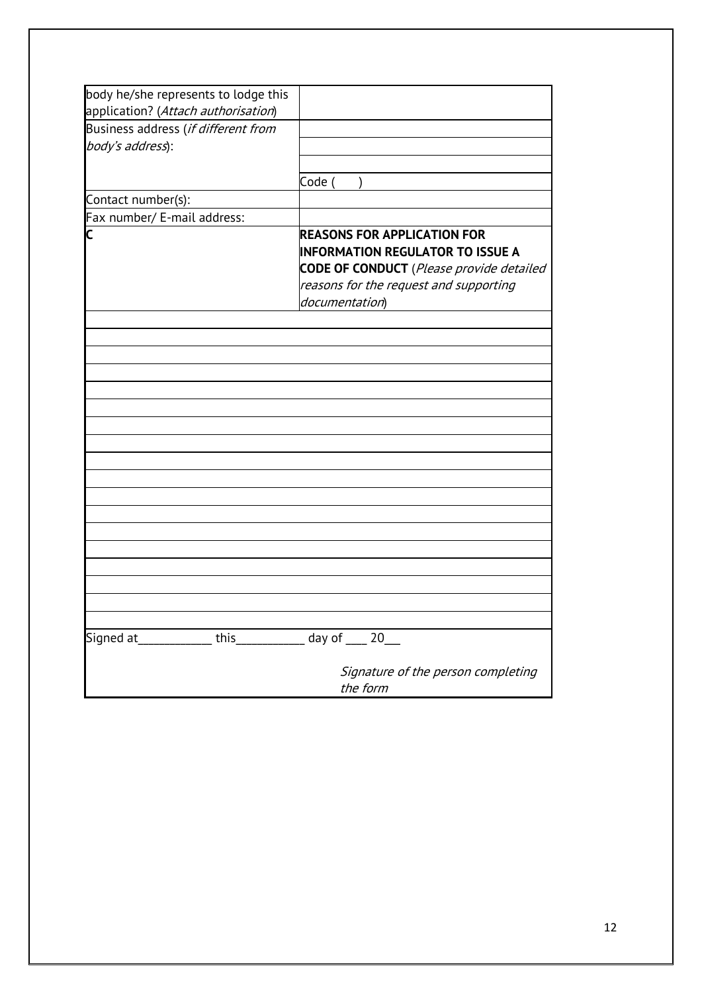| body he/she represents to lodge this |                                                 |
|--------------------------------------|-------------------------------------------------|
| application? (Attach authorisation)  |                                                 |
| Business address (if different from  |                                                 |
| body's address):                     |                                                 |
|                                      |                                                 |
|                                      | Code (<br>$\lambda$                             |
| Contact number(s):                   |                                                 |
| Fax number/ E-mail address:          |                                                 |
| Ć                                    | <b>REASONS FOR APPLICATION FOR</b>              |
|                                      | <b>INFORMATION REGULATOR TO ISSUE A</b>         |
|                                      | <b>CODE OF CONDUCT</b> (Please provide detailed |
|                                      | reasons for the request and supporting          |
|                                      | documentation)                                  |
|                                      |                                                 |
|                                      |                                                 |
|                                      |                                                 |
|                                      |                                                 |
|                                      |                                                 |
|                                      |                                                 |
|                                      |                                                 |
|                                      |                                                 |
|                                      |                                                 |
|                                      |                                                 |
|                                      |                                                 |
|                                      |                                                 |
|                                      |                                                 |
|                                      |                                                 |
|                                      |                                                 |
|                                      |                                                 |
|                                      |                                                 |
|                                      |                                                 |
|                                      |                                                 |
|                                      |                                                 |
| this<br>Signed at                    | day of _<br>- 20                                |
|                                      |                                                 |
|                                      | Signature of the person completing              |
|                                      | the form                                        |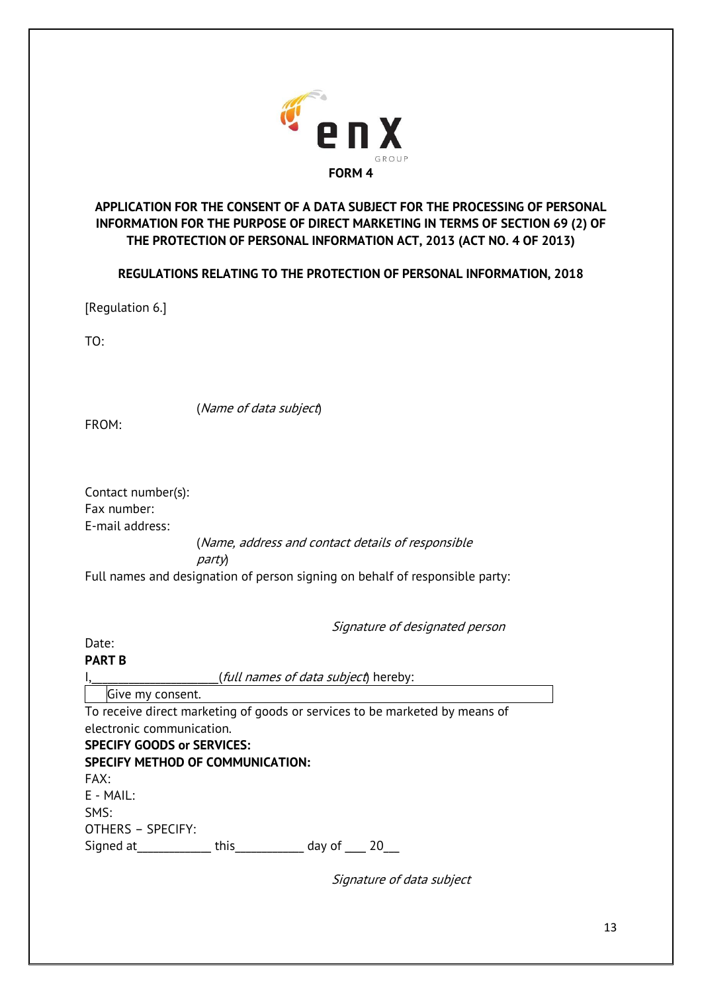

# **APPLICATION FOR THE CONSENT OF A DATA SUBJECT FOR THE PROCESSING OF PERSONAL INFORMATION FOR THE PURPOSE OF DIRECT MARKETING IN TERMS OF SECTION 69 (2) OF THE PROTECTION OF PERSONAL INFORMATION ACT, 2013 (ACT NO. 4 OF 2013)**

**REGULATIONS RELATING TO THE PROTECTION OF PERSONAL INFORMATION, 2018**

[Regulation 6.]

TO:

(Name of data subject)

FROM:

Contact number(s): Fax number: E-mail address:

(Name, address and contact details of responsible

party)

Full names and designation of person signing on behalf of responsible party:

Signature of designated person

## Date:

#### **PART B**

(*full names of data subject*) hereby:

Give my consent.

To receive direct marketing of goods or services to be marketed by means of electronic communication. **SPECIFY GOODS or SERVICES: SPECIFY METHOD OF COMMUNICATION:** FAX:  $F - M$ AII $\cdot$ 

SMS: OTHERS – SPECIFY: Signed at this this day of 20

Signature of data subject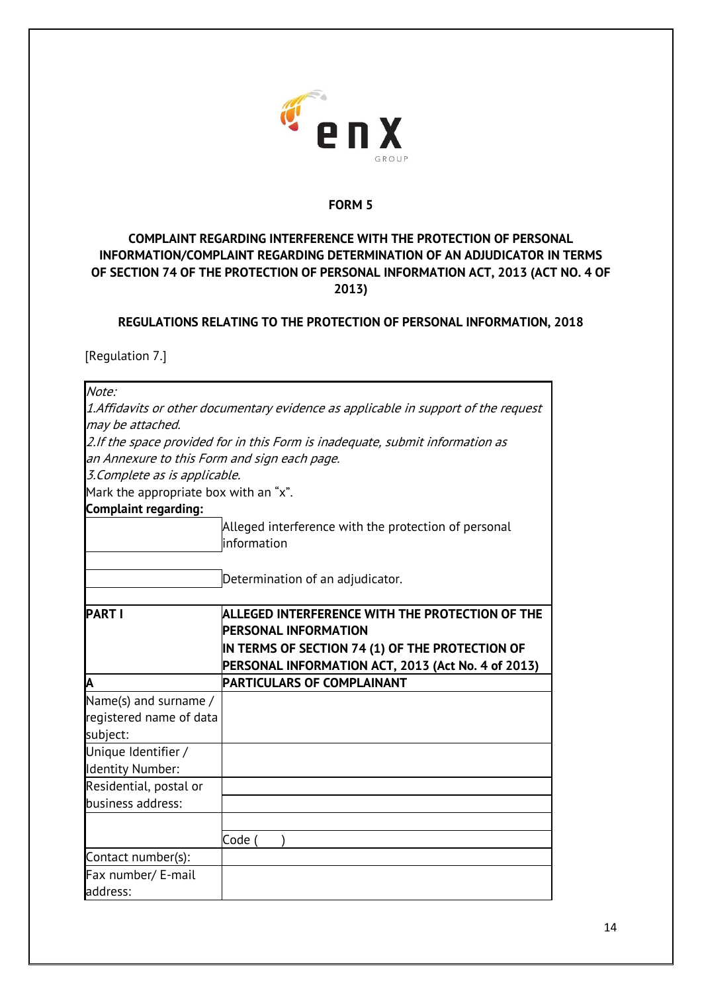

# **COMPLAINT REGARDING INTERFERENCE WITH THE PROTECTION OF PERSONAL INFORMATION/COMPLAINT REGARDING DETERMINATION OF AN ADJUDICATOR IN TERMS OF SECTION 74 OF THE PROTECTION OF PERSONAL INFORMATION ACT, 2013 (ACT NO. 4 OF 2013)**

## **REGULATIONS RELATING TO THE PROTECTION OF PERSONAL INFORMATION, 2018**

[Regulation 7.]

| Note:                                        |                                                                                                                                          |
|----------------------------------------------|------------------------------------------------------------------------------------------------------------------------------------------|
|                                              | 1.Affidavits or other documentary evidence as applicable in support of the request                                                       |
| may be attached.                             |                                                                                                                                          |
|                                              | 2.If the space provided for in this Form is inadequate, submit information as                                                            |
| an Annexure to this Form and sign each page. |                                                                                                                                          |
| 3. Complete as is applicable.                |                                                                                                                                          |
| Mark the appropriate box with an "x".        |                                                                                                                                          |
| <b>Complaint regarding:</b>                  |                                                                                                                                          |
|                                              | Alleged interference with the protection of personal<br>information                                                                      |
|                                              | Determination of an adjudicator.                                                                                                         |
| <b>PART I</b>                                | <b>ALLEGED INTERFERENCE WITH THE PROTECTION OF THE</b><br><b>PERSONAL INFORMATION</b><br>IN TERMS OF SECTION 74 (1) OF THE PROTECTION OF |
|                                              | PERSONAL INFORMATION ACT, 2013 (Act No. 4 of 2013)                                                                                       |
| Α                                            | PARTICULARS OF COMPLAINANT                                                                                                               |
| Name(s) and surname /                        |                                                                                                                                          |
| registered name of data<br>subject:          |                                                                                                                                          |
| Unique Identifier /                          |                                                                                                                                          |
| <b>Identity Number:</b>                      |                                                                                                                                          |
| Residential, postal or                       |                                                                                                                                          |
| business address:                            |                                                                                                                                          |
|                                              |                                                                                                                                          |
|                                              | Code                                                                                                                                     |
| Contact number(s):                           |                                                                                                                                          |
| Fax number/ E-mail                           |                                                                                                                                          |
| address:                                     |                                                                                                                                          |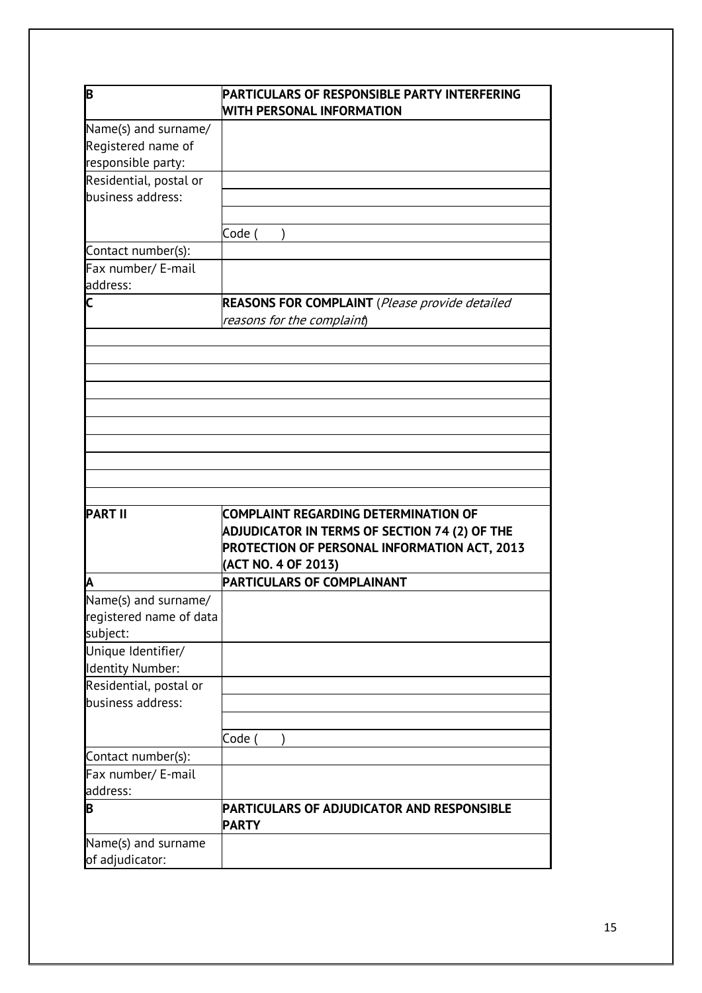|                                                                                                                              | PARTICULARS OF RESPONSIBLE PARTY INTERFERING<br><b>WITH PERSONAL INFORMATION</b> |
|------------------------------------------------------------------------------------------------------------------------------|----------------------------------------------------------------------------------|
| Name(s) and surname/                                                                                                         |                                                                                  |
| Registered name of                                                                                                           |                                                                                  |
| responsible party:                                                                                                           |                                                                                  |
| Residential, postal or                                                                                                       |                                                                                  |
| business address:                                                                                                            |                                                                                  |
|                                                                                                                              |                                                                                  |
|                                                                                                                              | Code (                                                                           |
| Contact number(s):                                                                                                           |                                                                                  |
| Fax number/ E-mail                                                                                                           |                                                                                  |
| address:                                                                                                                     |                                                                                  |
| $\overline{\mathsf{C}}$                                                                                                      | <b>REASONS FOR COMPLAINT</b> (Please provide detailed                            |
|                                                                                                                              | reasons for the complaint)                                                       |
|                                                                                                                              |                                                                                  |
|                                                                                                                              |                                                                                  |
|                                                                                                                              |                                                                                  |
|                                                                                                                              |                                                                                  |
|                                                                                                                              |                                                                                  |
|                                                                                                                              |                                                                                  |
|                                                                                                                              |                                                                                  |
|                                                                                                                              |                                                                                  |
|                                                                                                                              |                                                                                  |
|                                                                                                                              |                                                                                  |
| <b>PART II</b>                                                                                                               | <b>COMPLAINT REGARDING DETERMINATION OF</b>                                      |
|                                                                                                                              | ADJUDICATOR IN TERMS OF SECTION 74 (2) OF THE                                    |
|                                                                                                                              |                                                                                  |
|                                                                                                                              | PROTECTION OF PERSONAL INFORMATION ACT, 2013                                     |
|                                                                                                                              | (ACT NO. 4 OF 2013)                                                              |
| ΙA                                                                                                                           | PARTICULARS OF COMPLAINANT                                                       |
|                                                                                                                              |                                                                                  |
|                                                                                                                              |                                                                                  |
|                                                                                                                              |                                                                                  |
|                                                                                                                              |                                                                                  |
| Unique Identifier/                                                                                                           |                                                                                  |
|                                                                                                                              |                                                                                  |
|                                                                                                                              |                                                                                  |
| business address:                                                                                                            |                                                                                  |
|                                                                                                                              |                                                                                  |
|                                                                                                                              | Code                                                                             |
| Contact number(s):                                                                                                           |                                                                                  |
| Fax number/ E-mail                                                                                                           |                                                                                  |
| Name(s) and surname/<br>registered name of data<br>subject:<br><b>Identity Number:</b><br>Residential, postal or<br>address: |                                                                                  |
| B                                                                                                                            | PARTICULARS OF ADJUDICATOR AND RESPONSIBLE<br><b>PARTY</b>                       |
| Name(s) and surname                                                                                                          |                                                                                  |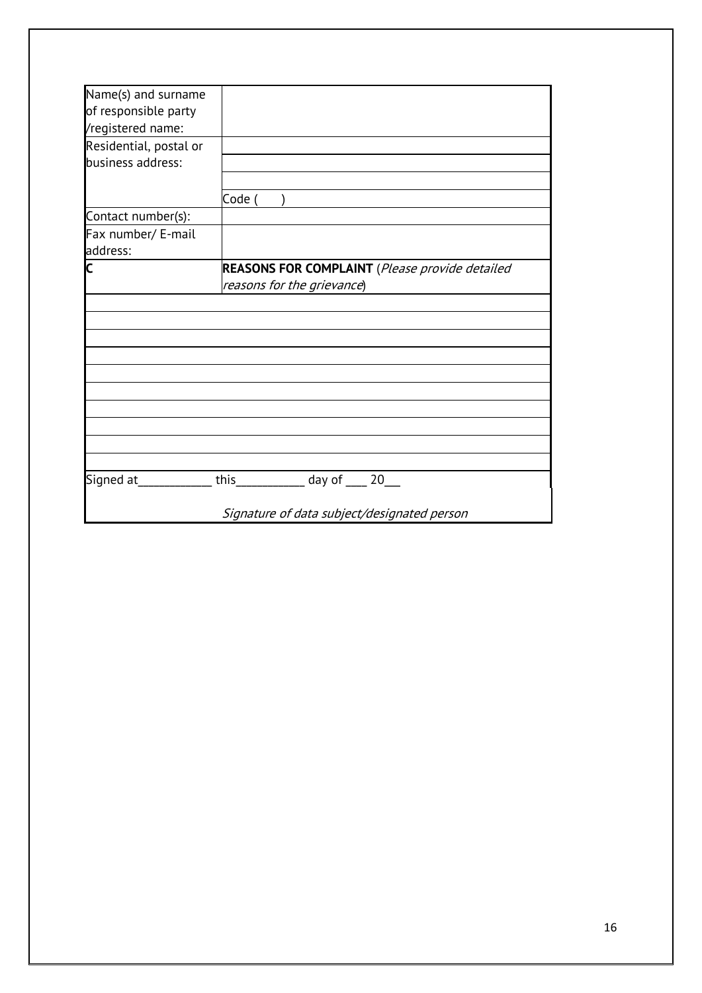| Name(s) and surname    |                                                                  |
|------------------------|------------------------------------------------------------------|
| of responsible party   |                                                                  |
| /registered name:      |                                                                  |
| Residential, postal or |                                                                  |
| business address:      |                                                                  |
|                        |                                                                  |
|                        | Code (                                                           |
| Contact number(s):     |                                                                  |
| Fax number/ E-mail     |                                                                  |
| address:               |                                                                  |
| C                      | <b>REASONS FOR COMPLAINT</b> (Please provide detailed            |
|                        | reasons for the grievance)                                       |
|                        |                                                                  |
|                        |                                                                  |
|                        |                                                                  |
|                        |                                                                  |
|                        |                                                                  |
|                        |                                                                  |
|                        |                                                                  |
|                        |                                                                  |
|                        |                                                                  |
|                        |                                                                  |
|                        | Signed at _____________this __________________day of _____20____ |
|                        | Signature of data subject/designated person                      |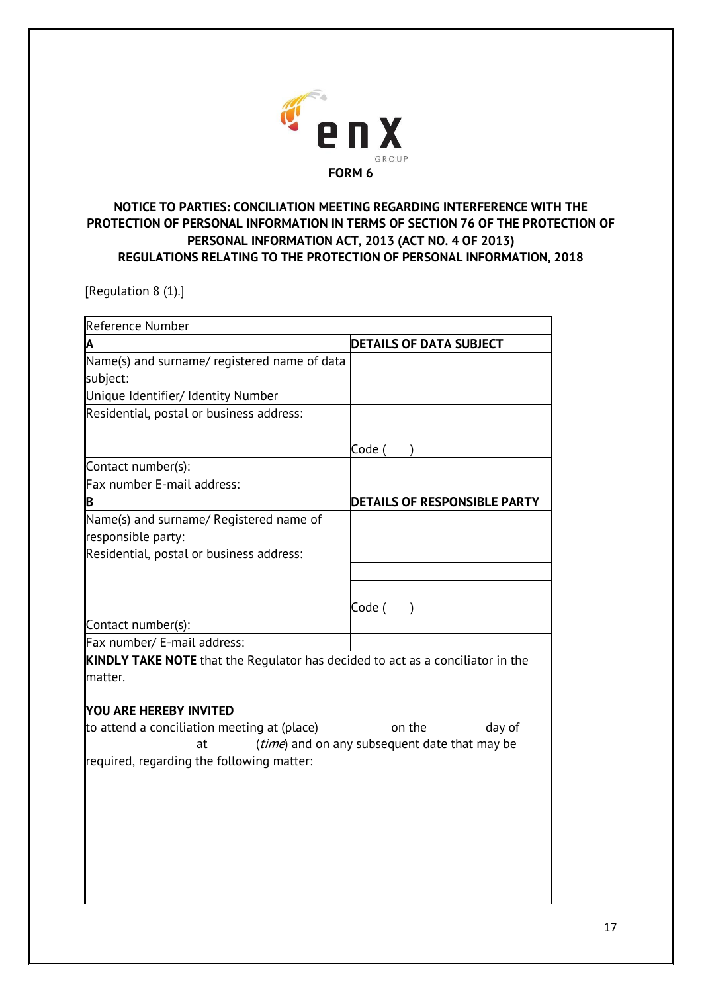

# **NOTICE TO PARTIES: CONCILIATION MEETING REGARDING INTERFERENCE WITH THE PROTECTION OF PERSONAL INFORMATION IN TERMS OF SECTION 76 OF THE PROTECTION OF PERSONAL INFORMATION ACT, 2013 (ACT NO. 4 OF 2013) REGULATIONS RELATING TO THE PROTECTION OF PERSONAL INFORMATION, 2018**

[Regulation 8 (1).]

| Reference Number                                                                                 |                                |  |
|--------------------------------------------------------------------------------------------------|--------------------------------|--|
| A                                                                                                | <b>DETAILS OF DATA SUBJECT</b> |  |
| Name(s) and surname/ registered name of data                                                     |                                |  |
| subject:                                                                                         |                                |  |
| Unique Identifier/ Identity Number                                                               |                                |  |
| Residential, postal or business address:                                                         |                                |  |
|                                                                                                  |                                |  |
|                                                                                                  | Code (                         |  |
| Contact number(s):                                                                               |                                |  |
| Fax number E-mail address:                                                                       |                                |  |
| B                                                                                                | DETAILS OF RESPONSIBLE PARTY   |  |
| Name(s) and surname/ Registered name of                                                          |                                |  |
| responsible party:                                                                               |                                |  |
| Residential, postal or business address:                                                         |                                |  |
|                                                                                                  |                                |  |
|                                                                                                  |                                |  |
|                                                                                                  | Code (                         |  |
| Contact number(s):                                                                               |                                |  |
| Fax number/ E-mail address:                                                                      |                                |  |
| <b>KINDLY TAKE NOTE</b> that the Regulator has decided to act as a conciliator in the<br>matter. |                                |  |
|                                                                                                  |                                |  |
| YOU ARE HEREBY INVITED                                                                           |                                |  |
| to attend a conciliation meeting at (place)                                                      | on the<br>day of               |  |
| (time) and on any subsequent date that may be<br>at                                              |                                |  |
| required, regarding the following matter:                                                        |                                |  |
|                                                                                                  |                                |  |
|                                                                                                  |                                |  |
|                                                                                                  |                                |  |
|                                                                                                  |                                |  |
|                                                                                                  |                                |  |
|                                                                                                  |                                |  |
|                                                                                                  |                                |  |
|                                                                                                  |                                |  |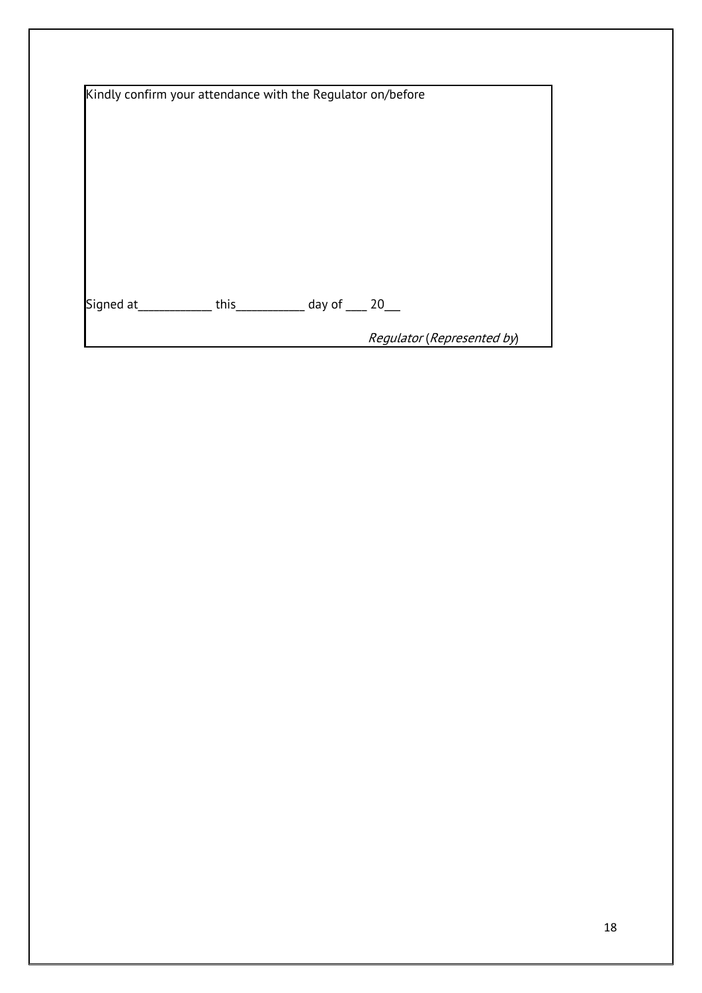| Kindly confirm your attendance with the Regulator on/before |  |                                        |                            |
|-------------------------------------------------------------|--|----------------------------------------|----------------------------|
|                                                             |  |                                        |                            |
|                                                             |  |                                        |                            |
|                                                             |  |                                        |                            |
|                                                             |  |                                        |                            |
|                                                             |  |                                        |                            |
|                                                             |  |                                        |                            |
|                                                             |  |                                        |                            |
|                                                             |  |                                        |                            |
|                                                             |  |                                        |                            |
| Signed at                                                   |  | this $\_\_\_\_\_\$ day of $\_\_\_\$ 20 |                            |
|                                                             |  |                                        |                            |
|                                                             |  |                                        | Regulator (Represented by) |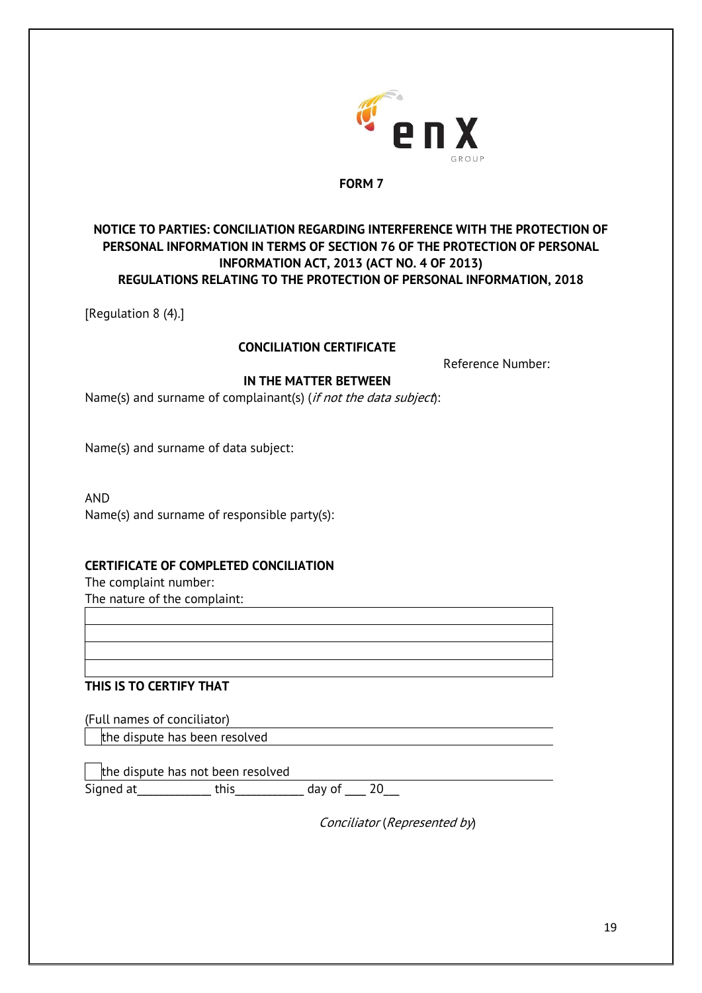

## **NOTICE TO PARTIES: CONCILIATION REGARDING INTERFERENCE WITH THE PROTECTION OF PERSONAL INFORMATION IN TERMS OF SECTION 76 OF THE PROTECTION OF PERSONAL INFORMATION ACT, 2013 (ACT NO. 4 OF 2013) REGULATIONS RELATING TO THE PROTECTION OF PERSONAL INFORMATION, 2018**

[Regulation 8 (4).]

## **CONCILIATION CERTIFICATE**

Reference Number:

## **IN THE MATTER BETWEEN**

Name(s) and surname of complainant(s) (if not the data subject):

Name(s) and surname of data subject:

AND Name(s) and surname of responsible party(s):

### **CERTIFICATE OF COMPLETED CONCILIATION**

The complaint number:

The nature of the complaint:

### **THIS IS TO CERTIFY THAT**

(Full names of conciliator)

the dispute has been resolved

the dispute has not been resolved Signed at\_\_\_\_\_\_\_\_\_\_\_\_\_\_ this\_\_\_\_\_\_\_\_\_\_\_\_\_ day of \_\_\_\_ 20\_\_\_

Conciliator (Represented by)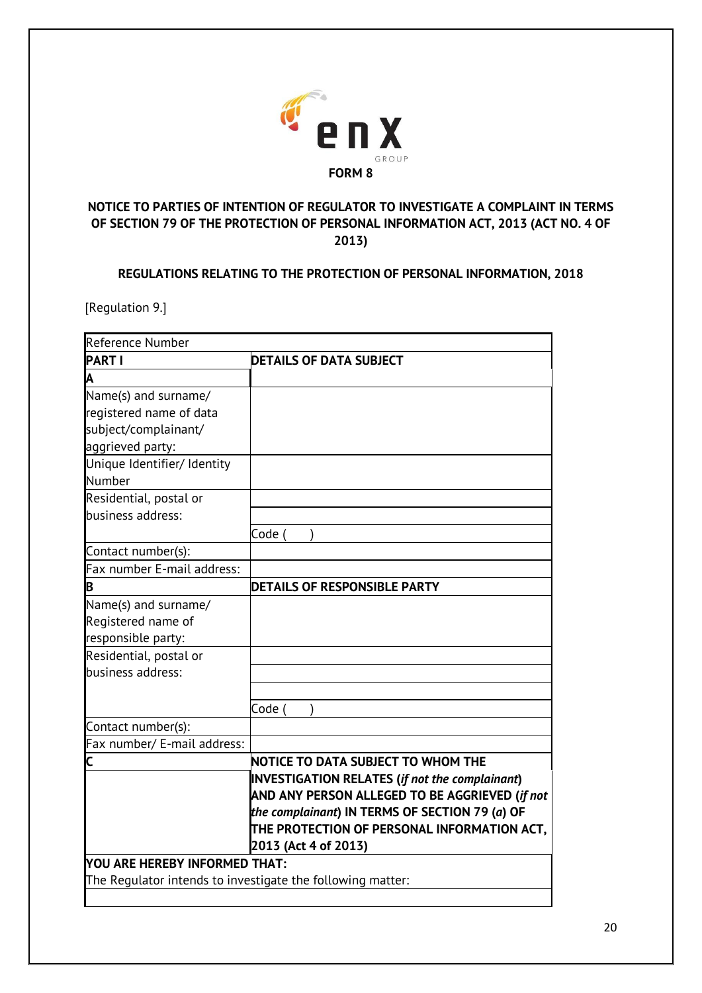

# **NOTICE TO PARTIES OF INTENTION OF REGULATOR TO INVESTIGATE A COMPLAINT IN TERMS OF SECTION 79 OF THE PROTECTION OF PERSONAL INFORMATION ACT, 2013 (ACT NO. 4 OF 2013)**

# **REGULATIONS RELATING TO THE PROTECTION OF PERSONAL INFORMATION, 2018**

[Regulation 9.]

| <b>Reference Number</b>                                    |                                                                                                                                                                                                          |
|------------------------------------------------------------|----------------------------------------------------------------------------------------------------------------------------------------------------------------------------------------------------------|
| <b>PART I</b>                                              | <b>DETAILS OF DATA SUBJECT</b>                                                                                                                                                                           |
| A                                                          |                                                                                                                                                                                                          |
| Name(s) and surname/                                       |                                                                                                                                                                                                          |
| registered name of data                                    |                                                                                                                                                                                                          |
| subject/complainant/                                       |                                                                                                                                                                                                          |
| aggrieved party:                                           |                                                                                                                                                                                                          |
| Unique Identifier/ Identity                                |                                                                                                                                                                                                          |
| Number                                                     |                                                                                                                                                                                                          |
| Residential, postal or                                     |                                                                                                                                                                                                          |
| business address:                                          |                                                                                                                                                                                                          |
|                                                            | Code (                                                                                                                                                                                                   |
| Contact number(s):                                         |                                                                                                                                                                                                          |
| Fax number E-mail address:                                 |                                                                                                                                                                                                          |
| В                                                          | <b>DETAILS OF RESPONSIBLE PARTY</b>                                                                                                                                                                      |
| Name(s) and surname/                                       |                                                                                                                                                                                                          |
| Registered name of                                         |                                                                                                                                                                                                          |
| responsible party:                                         |                                                                                                                                                                                                          |
| Residential, postal or                                     |                                                                                                                                                                                                          |
| business address:                                          |                                                                                                                                                                                                          |
|                                                            |                                                                                                                                                                                                          |
|                                                            | Code (                                                                                                                                                                                                   |
| Contact number(s):                                         |                                                                                                                                                                                                          |
| Fax number/ E-mail address:                                |                                                                                                                                                                                                          |
| C                                                          | NOTICE TO DATA SUBJECT TO WHOM THE                                                                                                                                                                       |
|                                                            | <b>INVESTIGATION RELATES (if not the complainant)</b><br>AND ANY PERSON ALLEGED TO BE AGGRIEVED (if not<br>the complainant) IN TERMS OF SECTION 79 (a) OF<br>THE PROTECTION OF PERSONAL INFORMATION ACT, |
|                                                            | 2013 (Act 4 of 2013)                                                                                                                                                                                     |
| YOU ARE HEREBY INFORMED THAT:                              |                                                                                                                                                                                                          |
| The Regulator intends to investigate the following matter: |                                                                                                                                                                                                          |
|                                                            |                                                                                                                                                                                                          |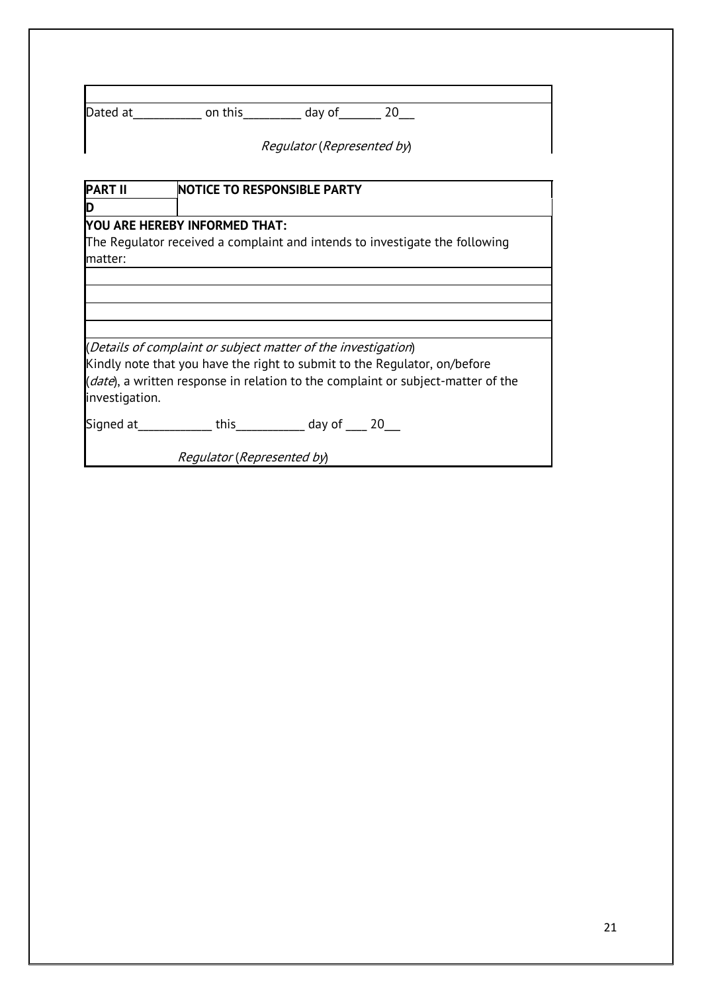| Dated at | on this | day of | 20 |
|----------|---------|--------|----|
|          |         |        |    |

Regulator (Represented by)

| <b>PART II</b> | <b>NOTICE TO RESPONSIBLE PARTY</b>                                               |
|----------------|----------------------------------------------------------------------------------|
| D              |                                                                                  |
|                | YOU ARE HEREBY INFORMED THAT:                                                    |
|                | The Regulator received a complaint and intends to investigate the following      |
| matter:        |                                                                                  |
|                |                                                                                  |
|                |                                                                                  |
|                |                                                                                  |
|                |                                                                                  |
|                | (Details of complaint or subject matter of the investigation)                    |
|                | Kindly note that you have the right to submit to the Regulator, on/before        |
| investigation. | (date), a written response in relation to the complaint or subject-matter of the |
|                | Signed at _____________this _____________ day of _____ 20___                     |
|                | Regulator (Represented by)                                                       |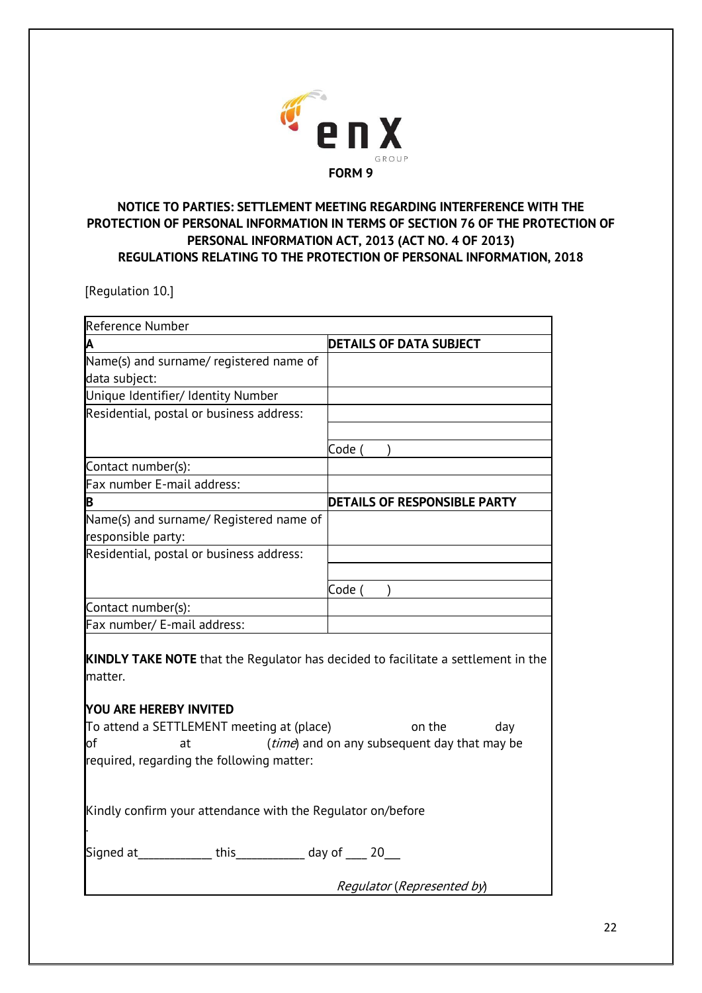

# **NOTICE TO PARTIES: SETTLEMENT MEETING REGARDING INTERFERENCE WITH THE PROTECTION OF PERSONAL INFORMATION IN TERMS OF SECTION 76 OF THE PROTECTION OF PERSONAL INFORMATION ACT, 2013 (ACT NO. 4 OF 2013) REGULATIONS RELATING TO THE PROTECTION OF PERSONAL INFORMATION, 2018**

[Regulation 10.]

| Reference Number                                                                                                                                                                                                                                                                                                     |                                |  |  |
|----------------------------------------------------------------------------------------------------------------------------------------------------------------------------------------------------------------------------------------------------------------------------------------------------------------------|--------------------------------|--|--|
| Α                                                                                                                                                                                                                                                                                                                    | <b>DETAILS OF DATA SUBJECT</b> |  |  |
| Name(s) and surname/ registered name of                                                                                                                                                                                                                                                                              |                                |  |  |
| data subject:                                                                                                                                                                                                                                                                                                        |                                |  |  |
| Unique Identifier/ Identity Number                                                                                                                                                                                                                                                                                   |                                |  |  |
| Residential, postal or business address:                                                                                                                                                                                                                                                                             |                                |  |  |
|                                                                                                                                                                                                                                                                                                                      |                                |  |  |
|                                                                                                                                                                                                                                                                                                                      | Code (                         |  |  |
| Contact number(s):                                                                                                                                                                                                                                                                                                   |                                |  |  |
| Fax number E-mail address:                                                                                                                                                                                                                                                                                           |                                |  |  |
| B                                                                                                                                                                                                                                                                                                                    | DETAILS OF RESPONSIBLE PARTY   |  |  |
| Name(s) and surname/ Registered name of<br>responsible party:                                                                                                                                                                                                                                                        |                                |  |  |
| Residential, postal or business address:                                                                                                                                                                                                                                                                             |                                |  |  |
|                                                                                                                                                                                                                                                                                                                      |                                |  |  |
|                                                                                                                                                                                                                                                                                                                      | Code (                         |  |  |
| Contact number(s):                                                                                                                                                                                                                                                                                                   |                                |  |  |
| Fax number/ E-mail address:                                                                                                                                                                                                                                                                                          |                                |  |  |
| <b>KINDLY TAKE NOTE</b> that the Regulator has decided to facilitate a settlement in the<br>matter.<br><b>YOU ARE HEREBY INVITED</b><br>To attend a SETTLEMENT meeting at (place)<br>on the<br>day<br>(time) and on any subsequent day that may be<br><b>l</b> of<br>at<br>required, regarding the following matter: |                                |  |  |
| Kindly confirm your attendance with the Regulator on/before                                                                                                                                                                                                                                                          |                                |  |  |
| Signed at _____________this _____________ day of _____ 20___                                                                                                                                                                                                                                                         |                                |  |  |
|                                                                                                                                                                                                                                                                                                                      | Regulator (Represented by)     |  |  |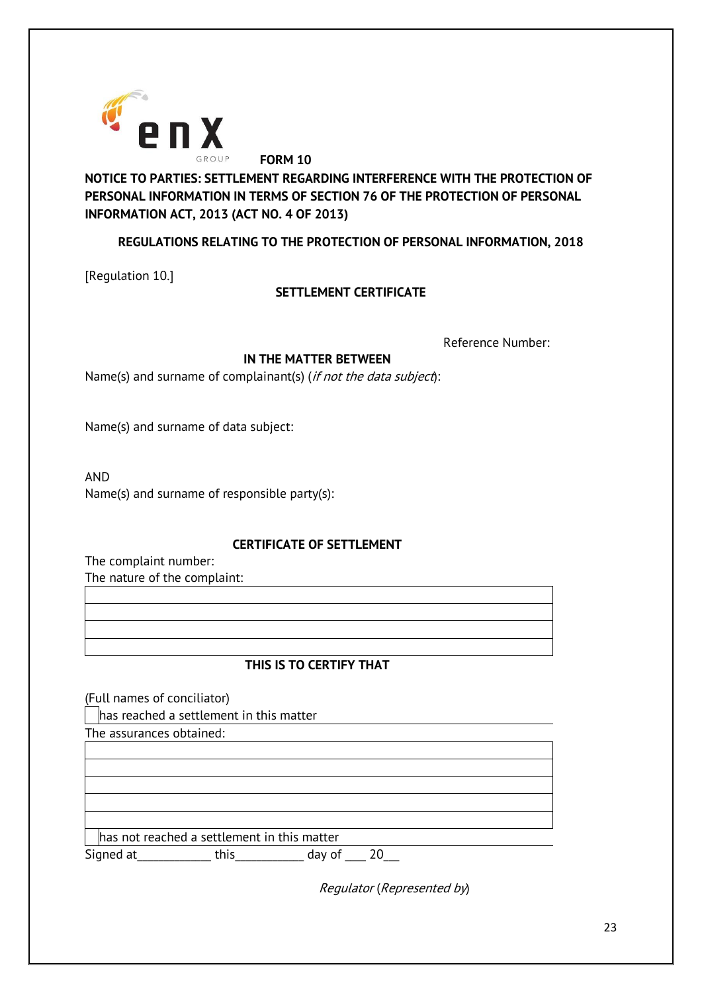

**NOTICE TO PARTIES: SETTLEMENT REGARDING INTERFERENCE WITH THE PROTECTION OF PERSONAL INFORMATION IN TERMS OF SECTION 76 OF THE PROTECTION OF PERSONAL INFORMATION ACT, 2013 (ACT NO. 4 OF 2013)**

# **REGULATIONS RELATING TO THE PROTECTION OF PERSONAL INFORMATION, 2018**

[Regulation 10.]

# **SETTLEMENT CERTIFICATE**

Reference Number:

## **IN THE MATTER BETWEEN**

Name(s) and surname of complainant(s) (if not the data subject):

Name(s) and surname of data subject:

AND

Name(s) and surname of responsible party(s):

### **CERTIFICATE OF SETTLEMENT**

The complaint number: The nature of the complaint:

# **THIS IS TO CERTIFY THAT**

(Full names of conciliator)

has reached a settlement in this matter

The assurances obtained:

has not reached a settlement in this matter Signed at This this day of  $\overline{20}$ 

Regulator (Represented by)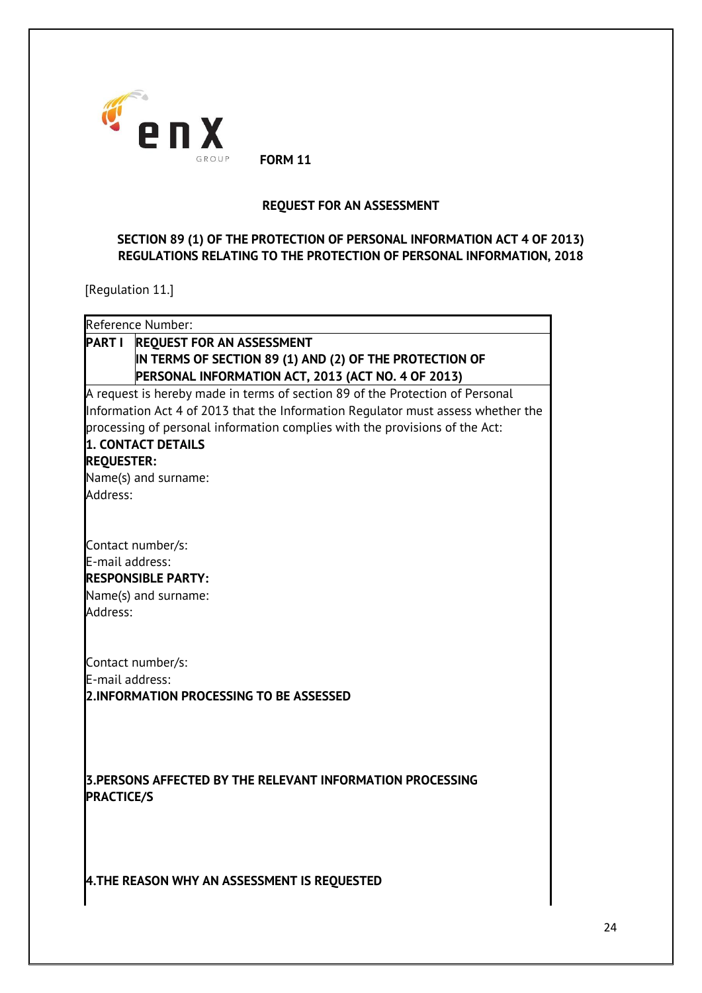

#### **REQUEST FOR AN ASSESSMENT**

# **SECTION 89 (1) OF THE PROTECTION OF PERSONAL INFORMATION ACT 4 OF 2013) REGULATIONS RELATING TO THE PROTECTION OF PERSONAL INFORMATION, 2018**

[Regulation 11.]

| Reference Number:                                                                                     |                                                                                                                                                                                                                                                  |
|-------------------------------------------------------------------------------------------------------|--------------------------------------------------------------------------------------------------------------------------------------------------------------------------------------------------------------------------------------------------|
|                                                                                                       | PART I REQUEST FOR AN ASSESSMENT                                                                                                                                                                                                                 |
|                                                                                                       | IN TERMS OF SECTION 89 (1) AND (2) OF THE PROTECTION OF<br>PERSONAL INFORMATION ACT, 2013 (ACT NO. 4 OF 2013)                                                                                                                                    |
| 1. CONTACT DETAILS<br><b>REQUESTER:</b><br>Name(s) and surname:<br>Address:                           | A request is hereby made in terms of section 89 of the Protection of Personal<br>Information Act 4 of 2013 that the Information Regulator must assess whether the<br>processing of personal information complies with the provisions of the Act: |
| Contact number/s:<br>E-mail address:<br><b>RESPONSIBLE PARTY:</b><br>Name(s) and surname:<br>Address: |                                                                                                                                                                                                                                                  |
| Contact number/s:<br>E-mail address:                                                                  | 2.INFORMATION PROCESSING TO BE ASSESSED                                                                                                                                                                                                          |
| <b>PRACTICE/S</b>                                                                                     | 3. PERSONS AFFECTED BY THE RELEVANT INFORMATION PROCESSING                                                                                                                                                                                       |
|                                                                                                       | 4.THE REASON WHY AN ASSESSMENT IS REQUESTED                                                                                                                                                                                                      |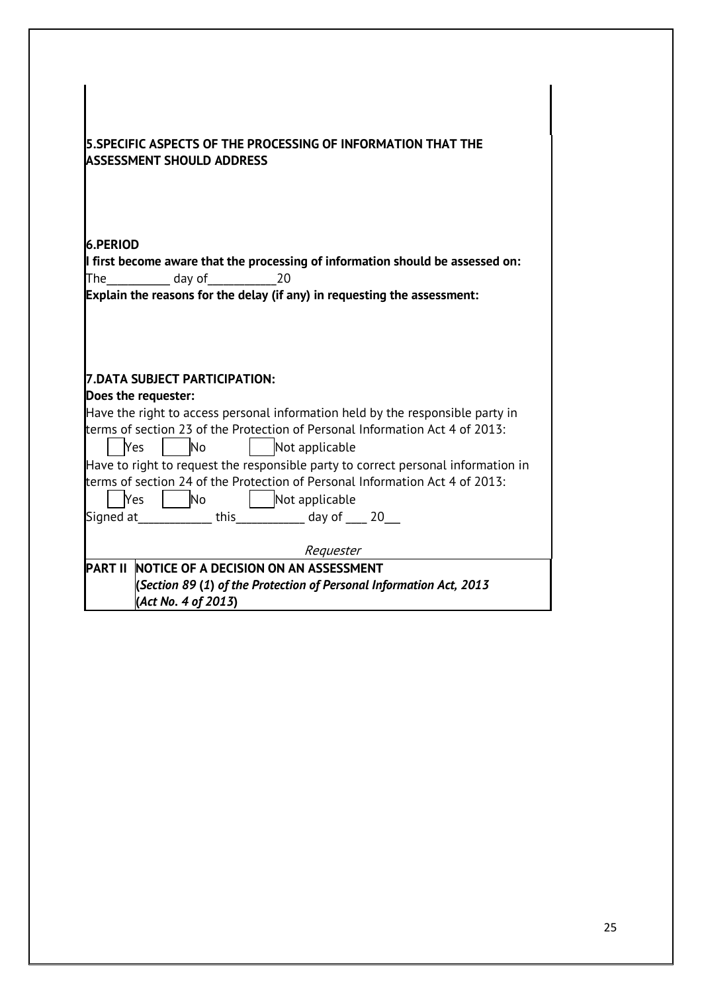| 5.SPECIFIC ASPECTS OF THE PROCESSING OF INFORMATION THAT THE                      |  |  |  |
|-----------------------------------------------------------------------------------|--|--|--|
| <b>ASSESSMENT SHOULD ADDRESS</b>                                                  |  |  |  |
|                                                                                   |  |  |  |
|                                                                                   |  |  |  |
|                                                                                   |  |  |  |
| <b>16.PERIOD</b>                                                                  |  |  |  |
| If first become aware that the processing of information should be assessed on:   |  |  |  |
| The day of 20                                                                     |  |  |  |
| Explain the reasons for the delay (if any) in requesting the assessment:          |  |  |  |
|                                                                                   |  |  |  |
|                                                                                   |  |  |  |
|                                                                                   |  |  |  |
| 7.DATA SUBJECT PARTICIPATION:                                                     |  |  |  |
| Does the requester:                                                               |  |  |  |
| Have the right to access personal information held by the responsible party in    |  |  |  |
| terms of section 23 of the Protection of Personal Information Act 4 of 2013:      |  |  |  |
| No<br>  Not applicable<br>Yes                                                     |  |  |  |
| Have to right to request the responsible party to correct personal information in |  |  |  |
| terms of section 24 of the Protection of Personal Information Act 4 of 2013:      |  |  |  |
| <b>No</b><br>Yes<br>  Not applicable                                              |  |  |  |
| Signed at ____________this _______________ day of _____ 20____                    |  |  |  |
|                                                                                   |  |  |  |
| Requester                                                                         |  |  |  |
| <b>PART II</b><br>NOTICE OF A DECISION ON AN ASSESSMENT                           |  |  |  |
| (Section 89 (1) of the Protection of Personal Information Act, 2013               |  |  |  |
| (Act No. 4 of 2013)                                                               |  |  |  |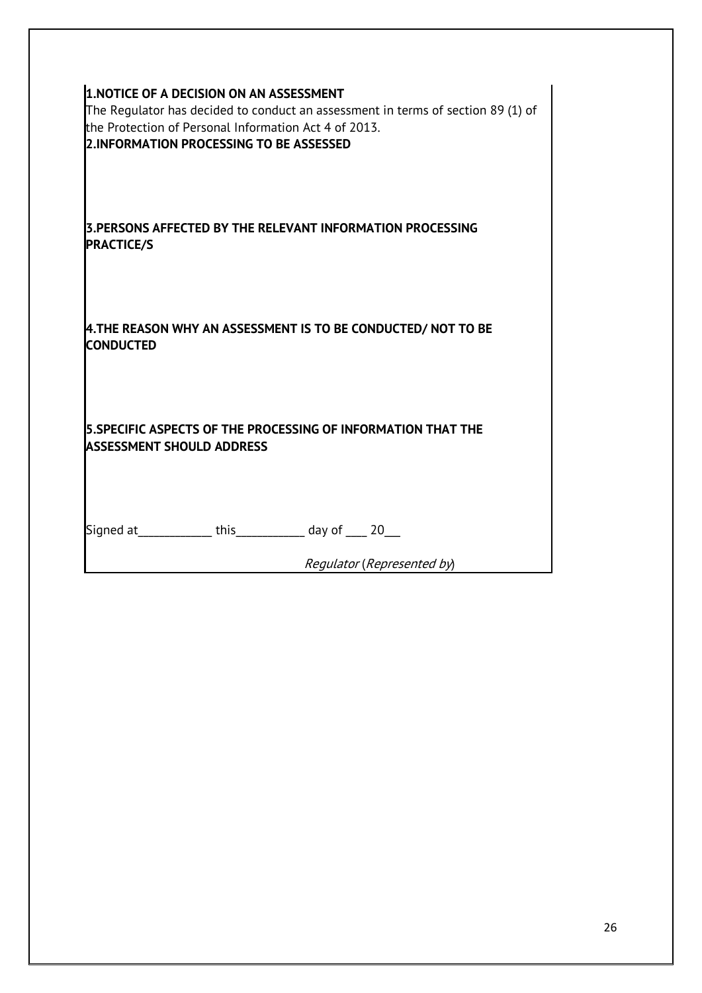| <b>1.NOTICE OF A DECISION ON AN ASSESSMENT</b><br>the Protection of Personal Information Act 4 of 2013.<br>2.INFORMATION PROCESSING TO BE ASSESSED | The Regulator has decided to conduct an assessment in terms of section 89 (1) of |
|----------------------------------------------------------------------------------------------------------------------------------------------------|----------------------------------------------------------------------------------|
| 3. PERSONS AFFECTED BY THE RELEVANT INFORMATION PROCESSING<br><b>PRACTICE/S</b>                                                                    |                                                                                  |
| 4.THE REASON WHY AN ASSESSMENT IS TO BE CONDUCTED/ NOT TO BE<br><b>CONDUCTED</b>                                                                   |                                                                                  |
| 5. SPECIFIC ASPECTS OF THE PROCESSING OF INFORMATION THAT THE<br><b>ASSESSMENT SHOULD ADDRESS</b>                                                  |                                                                                  |
| Signed at _____________ this ___________ day of ____ 20___                                                                                         | Regulator (Represented by)                                                       |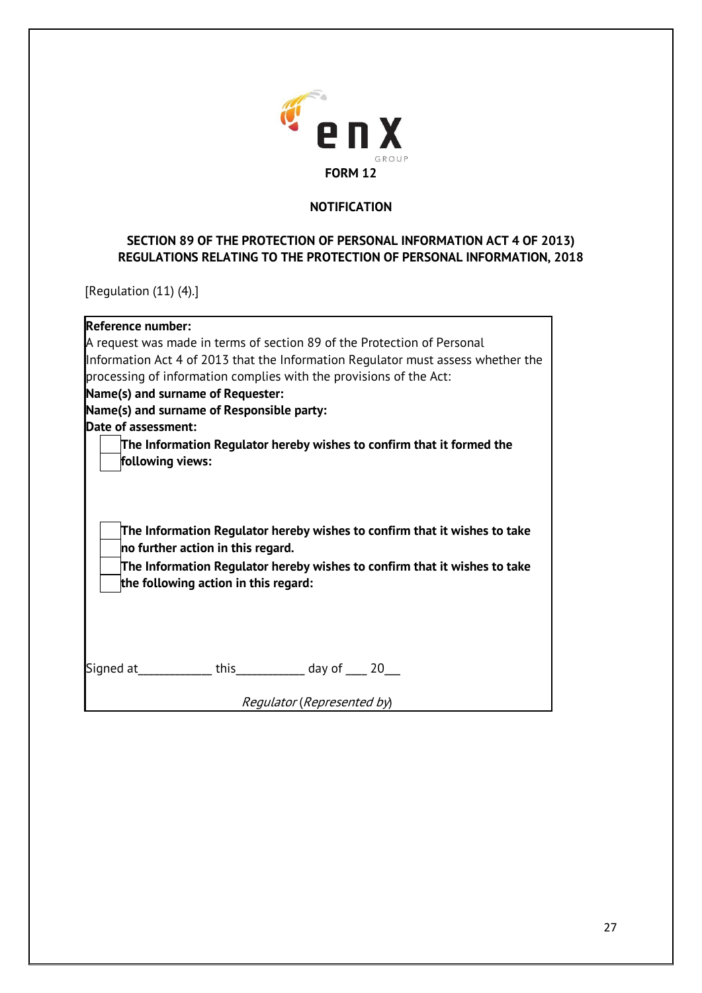

### **NOTIFICATION**

## **SECTION 89 OF THE PROTECTION OF PERSONAL INFORMATION ACT 4 OF 2013) REGULATIONS RELATING TO THE PROTECTION OF PERSONAL INFORMATION, 2018**

[Regulation (11) (4).]

| <b>Reference number:</b>                  |                                                                                                                                                                                                |
|-------------------------------------------|------------------------------------------------------------------------------------------------------------------------------------------------------------------------------------------------|
|                                           | A request was made in terms of section 89 of the Protection of Personal                                                                                                                        |
|                                           | Information Act 4 of 2013 that the Information Regulator must assess whether the                                                                                                               |
|                                           | processing of information complies with the provisions of the Act:                                                                                                                             |
| Name(s) and surname of Requester:         |                                                                                                                                                                                                |
| Name(s) and surname of Responsible party: |                                                                                                                                                                                                |
| Date of assessment:                       |                                                                                                                                                                                                |
|                                           | The Information Regulator hereby wishes to confirm that it formed the                                                                                                                          |
| following views:                          |                                                                                                                                                                                                |
|                                           |                                                                                                                                                                                                |
| no further action in this regard.         | The Information Regulator hereby wishes to confirm that it wishes to take<br>The Information Regulator hereby wishes to confirm that it wishes to take<br>the following action in this regard: |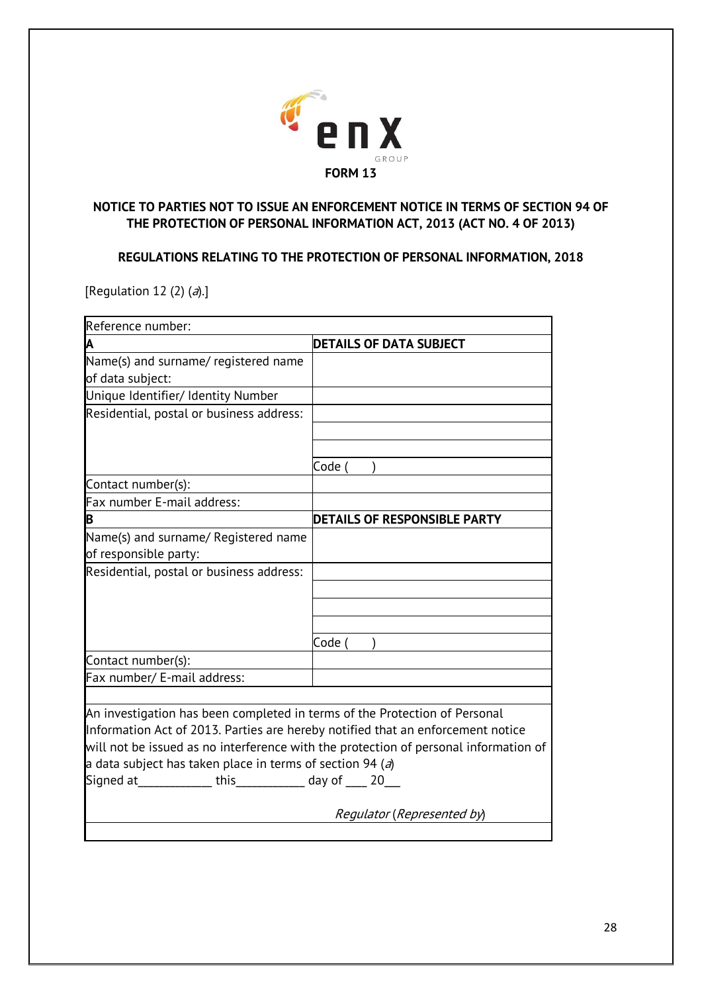

# **NOTICE TO PARTIES NOT TO ISSUE AN ENFORCEMENT NOTICE IN TERMS OF SECTION 94 OF THE PROTECTION OF PERSONAL INFORMATION ACT, 2013 (ACT NO. 4 OF 2013)**

**REGULATIONS RELATING TO THE PROTECTION OF PERSONAL INFORMATION, 2018**

[Regulation 12 (2)  $(a)$ .]

| Reference number:                                                               |                                                                                      |  |
|---------------------------------------------------------------------------------|--------------------------------------------------------------------------------------|--|
| A                                                                               | <b>DETAILS OF DATA SUBJECT</b>                                                       |  |
| Name(s) and surname/ registered name                                            |                                                                                      |  |
| of data subject:                                                                |                                                                                      |  |
| Unique Identifier/ Identity Number                                              |                                                                                      |  |
| Residential, postal or business address:                                        |                                                                                      |  |
|                                                                                 |                                                                                      |  |
|                                                                                 |                                                                                      |  |
|                                                                                 | Code (                                                                               |  |
| Contact number(s):                                                              |                                                                                      |  |
| Fax number E-mail address:                                                      |                                                                                      |  |
| B                                                                               | <b>DETAILS OF RESPONSIBLE PARTY</b>                                                  |  |
| Name(s) and surname/ Registered name                                            |                                                                                      |  |
| of responsible party:                                                           |                                                                                      |  |
| Residential, postal or business address:                                        |                                                                                      |  |
|                                                                                 |                                                                                      |  |
|                                                                                 |                                                                                      |  |
|                                                                                 |                                                                                      |  |
|                                                                                 | Code (                                                                               |  |
| Contact number(s):                                                              |                                                                                      |  |
| Fax number/ E-mail address:                                                     |                                                                                      |  |
|                                                                                 |                                                                                      |  |
| An investigation has been completed in terms of the Protection of Personal      |                                                                                      |  |
| Information Act of 2013. Parties are hereby notified that an enforcement notice |                                                                                      |  |
|                                                                                 | will not be issued as no interference with the protection of personal information of |  |
| a data subject has taken place in terms of section 94 (a)                       |                                                                                      |  |
| Signed at _______________ this _____________ day of ____ 20___                  |                                                                                      |  |
|                                                                                 |                                                                                      |  |
|                                                                                 | Regulator (Represented by)                                                           |  |
|                                                                                 |                                                                                      |  |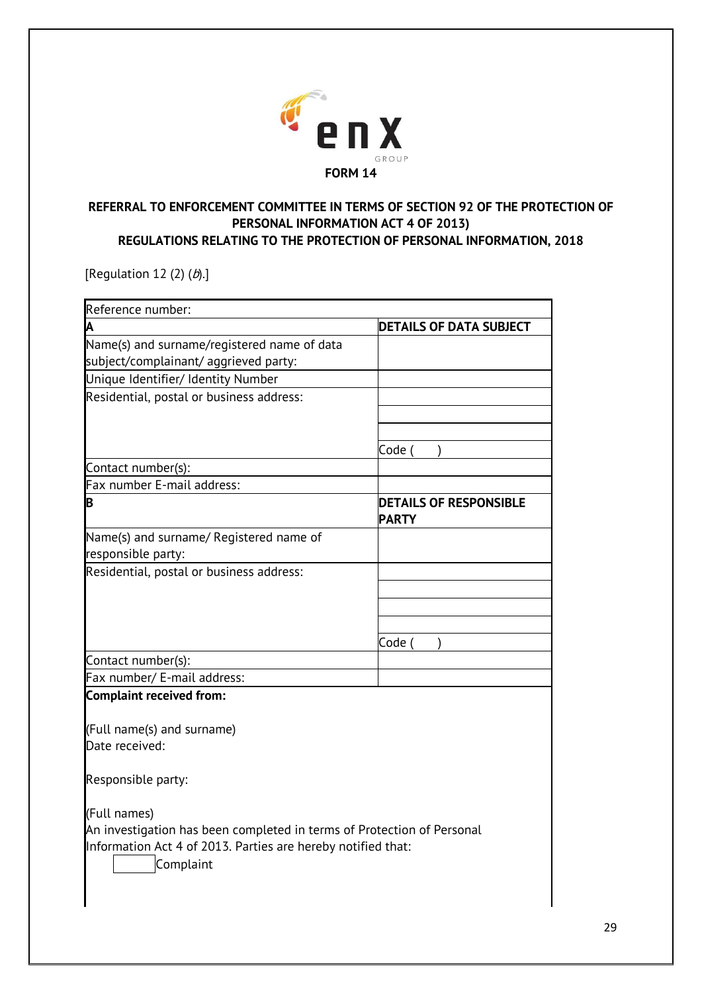

## **REFERRAL TO ENFORCEMENT COMMITTEE IN TERMS OF SECTION 92 OF THE PROTECTION OF PERSONAL INFORMATION ACT 4 OF 2013) REGULATIONS RELATING TO THE PROTECTION OF PERSONAL INFORMATION, 2018**

[Regulation 12 (2)  $(b)$ .]

| Reference number:                                                         |                                               |  |
|---------------------------------------------------------------------------|-----------------------------------------------|--|
|                                                                           | <b>DETAILS OF DATA SUBJECT</b>                |  |
| Name(s) and surname/registered name of data                               |                                               |  |
| subject/complainant/ aggrieved party:                                     |                                               |  |
| Unique Identifier/ Identity Number                                        |                                               |  |
| Residential, postal or business address:                                  |                                               |  |
|                                                                           |                                               |  |
|                                                                           |                                               |  |
|                                                                           | Code (                                        |  |
| Contact number(s):                                                        |                                               |  |
| Fax number E-mail address:                                                |                                               |  |
| Β                                                                         | <b>DETAILS OF RESPONSIBLE</b><br><b>PARTY</b> |  |
| Name(s) and surname/ Registered name of                                   |                                               |  |
| responsible party:                                                        |                                               |  |
| Residential, postal or business address:                                  |                                               |  |
|                                                                           |                                               |  |
|                                                                           |                                               |  |
|                                                                           |                                               |  |
|                                                                           | Code (                                        |  |
| Contact number(s):                                                        |                                               |  |
| Fax number/ E-mail address:                                               |                                               |  |
| <b>Complaint received from:</b>                                           |                                               |  |
| (Full name(s) and surname)                                                |                                               |  |
| Date received:                                                            |                                               |  |
| Responsible party:                                                        |                                               |  |
| (Full names)                                                              |                                               |  |
| An investigation has been completed in terms of Protection of Personal    |                                               |  |
| Information Act 4 of 2013. Parties are hereby notified that:<br>Complaint |                                               |  |
|                                                                           |                                               |  |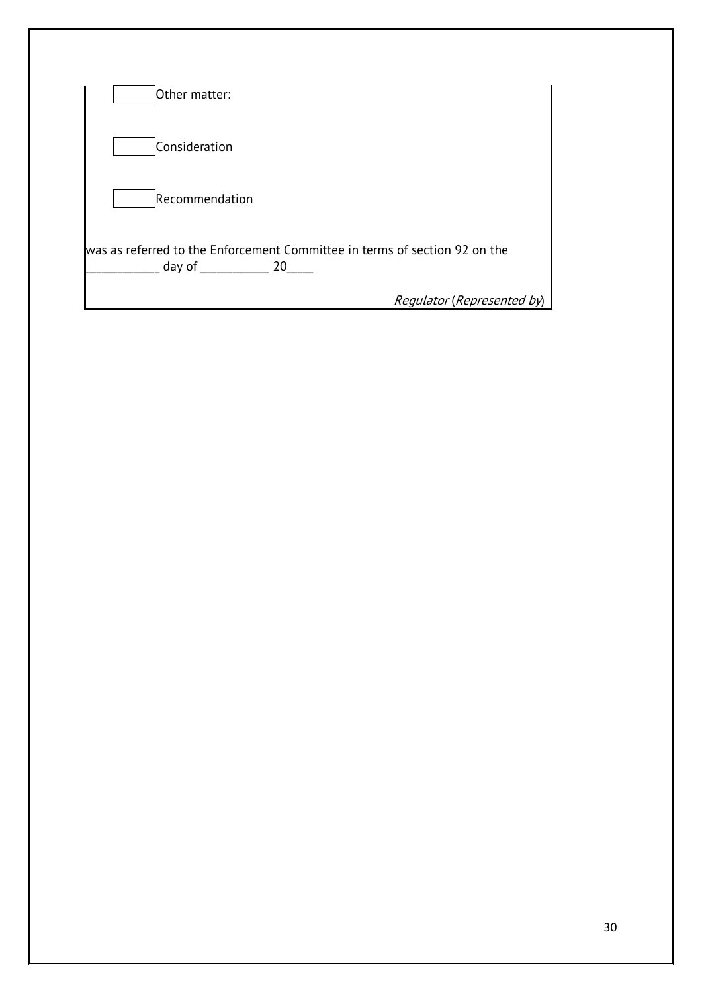| Other matter:                                                                              |                            |
|--------------------------------------------------------------------------------------------|----------------------------|
| Consideration                                                                              |                            |
| Recommendation                                                                             |                            |
| was as referred to the Enforcement Committee in terms of section 92 on the<br>day of<br>20 |                            |
|                                                                                            | Regulator (Represented by) |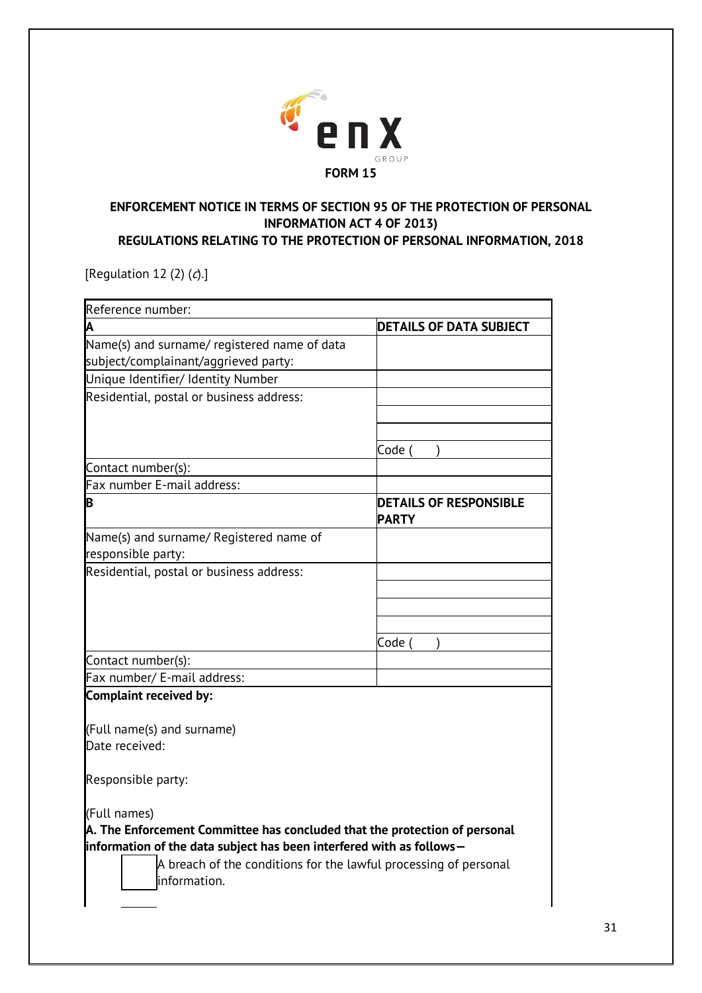

# **ENFORCEMENT NOTICE IN TERMS OF SECTION 95 OF THE PROTECTION OF PERSONAL INFORMATION ACT 4 OF 2013) REGULATIONS RELATING TO THE PROTECTION OF PERSONAL INFORMATION, 2018**

[Regulation 12 (2)  $(d)$ ]

| Reference number:                                                                |                                               |  |  |
|----------------------------------------------------------------------------------|-----------------------------------------------|--|--|
| А                                                                                | <b>DETAILS OF DATA SUBJECT</b>                |  |  |
| Name(s) and surname/ registered name of data                                     |                                               |  |  |
| subject/complainant/aggrieved party:                                             |                                               |  |  |
| Unique Identifier/ Identity Number                                               |                                               |  |  |
| Residential, postal or business address:                                         |                                               |  |  |
|                                                                                  |                                               |  |  |
|                                                                                  |                                               |  |  |
|                                                                                  | Code                                          |  |  |
| Contact number(s):                                                               |                                               |  |  |
| Fax number E-mail address:                                                       |                                               |  |  |
| B                                                                                | <b>DETAILS OF RESPONSIBLE</b><br><b>PARTY</b> |  |  |
| Name(s) and surname/ Registered name of                                          |                                               |  |  |
| responsible party:                                                               |                                               |  |  |
| Residential, postal or business address:                                         |                                               |  |  |
|                                                                                  |                                               |  |  |
|                                                                                  |                                               |  |  |
|                                                                                  |                                               |  |  |
|                                                                                  | Code                                          |  |  |
| Contact number(s):                                                               |                                               |  |  |
| Fax number/ E-mail address:                                                      |                                               |  |  |
| <b>Complaint received by:</b>                                                    |                                               |  |  |
| (Full name(s) and surname)                                                       |                                               |  |  |
| Date received:                                                                   |                                               |  |  |
| Responsible party:                                                               |                                               |  |  |
| (Full names)                                                                     |                                               |  |  |
| A. The Enforcement Committee has concluded that the protection of personal       |                                               |  |  |
| information of the data subject has been interfered with as follows-             |                                               |  |  |
| A breach of the conditions for the lawful processing of personal<br>information. |                                               |  |  |
|                                                                                  |                                               |  |  |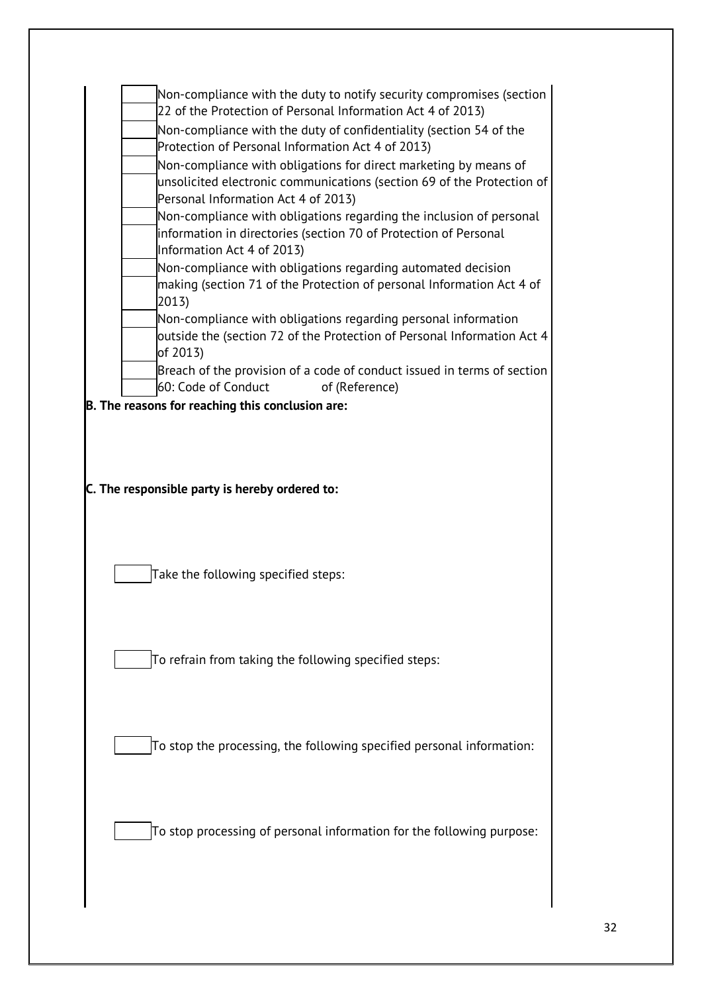| 22 of the Protection of Personal Information Act 4 of 2013)                                                                                           |
|-------------------------------------------------------------------------------------------------------------------------------------------------------|
| Non-compliance with the duty of confidentiality (section 54 of the<br>Protection of Personal Information Act 4 of 2013)                               |
| Non-compliance with obligations for direct marketing by means of                                                                                      |
| unsolicited electronic communications (section 69 of the Protection of<br>Personal Information Act 4 of 2013)                                         |
| Non-compliance with obligations regarding the inclusion of personal<br>information in directories (section 70 of Protection of Personal               |
| Information Act 4 of 2013)<br>Non-compliance with obligations regarding automated decision                                                            |
| making (section 71 of the Protection of personal Information Act 4 of<br>2013                                                                         |
| Non-compliance with obligations regarding personal information<br>outside the (section 72 of the Protection of Personal Information Act 4<br>of 2013) |
| Breach of the provision of a code of conduct issued in terms of section<br>60: Code of Conduct<br>of (Reference)                                      |
| B. The reasons for reaching this conclusion are:                                                                                                      |
|                                                                                                                                                       |
|                                                                                                                                                       |
|                                                                                                                                                       |
|                                                                                                                                                       |
| C. The responsible party is hereby ordered to:                                                                                                        |
|                                                                                                                                                       |
|                                                                                                                                                       |
|                                                                                                                                                       |
|                                                                                                                                                       |
|                                                                                                                                                       |
| Take the following specified steps:                                                                                                                   |
|                                                                                                                                                       |
|                                                                                                                                                       |
|                                                                                                                                                       |
|                                                                                                                                                       |
| To refrain from taking the following specified steps:                                                                                                 |
|                                                                                                                                                       |
|                                                                                                                                                       |
|                                                                                                                                                       |
| To stop the processing, the following specified personal information:                                                                                 |
|                                                                                                                                                       |
|                                                                                                                                                       |
|                                                                                                                                                       |
|                                                                                                                                                       |
| To stop processing of personal information for the following purpose:                                                                                 |
|                                                                                                                                                       |
|                                                                                                                                                       |
|                                                                                                                                                       |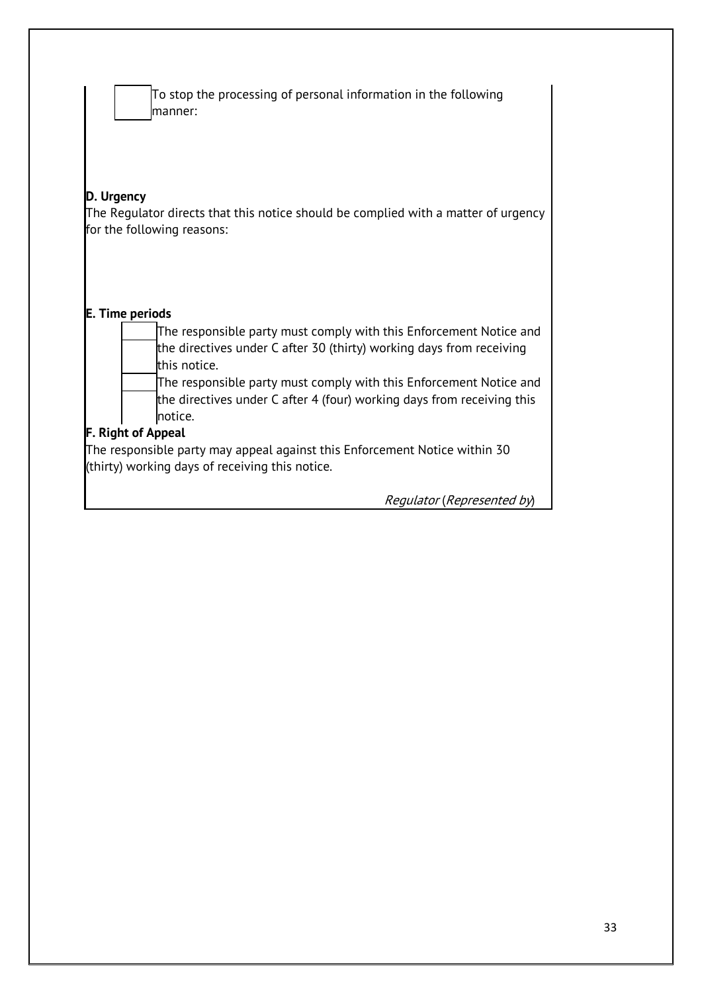| To stop the processing of personal information in the following<br>manner:                                                                                              |  |  |
|-------------------------------------------------------------------------------------------------------------------------------------------------------------------------|--|--|
| D. Urgency<br>The Regulator directs that this notice should be complied with a matter of urgency<br>for the following reasons:                                          |  |  |
| <b>E. Time periods</b><br>The responsible party must comply with this Enforcement Notice and<br>the directives under C after 30 (thirty) working days from receiving    |  |  |
| this notice.<br>The responsible party must comply with this Enforcement Notice and<br>the directives under C after 4 (four) working days from receiving this<br>notice. |  |  |
| <b>F. Right of Appeal</b>                                                                                                                                               |  |  |
| The responsible party may appeal against this Enforcement Notice within 30<br>(thirty) working days of receiving this notice.                                           |  |  |
| Regulator (Represented by)                                                                                                                                              |  |  |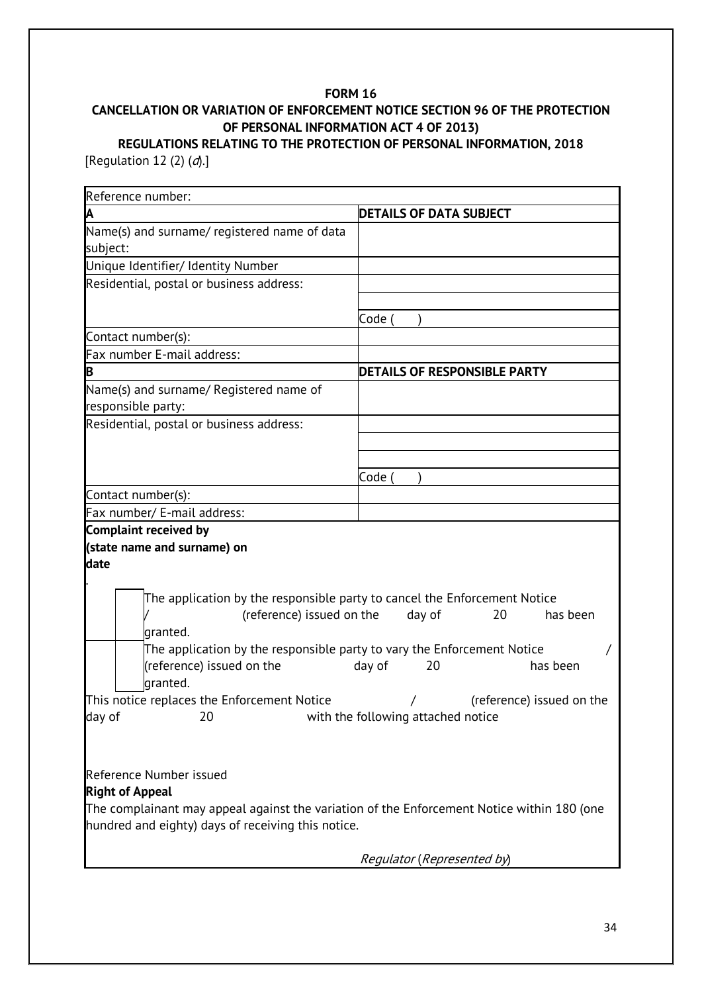# **CANCELLATION OR VARIATION OF ENFORCEMENT NOTICE SECTION 96 OF THE PROTECTION OF PERSONAL INFORMATION ACT 4 OF 2013)**

# **REGULATIONS RELATING TO THE PROTECTION OF PERSONAL INFORMATION, 2018** [Regulation 12 (2)  $(d)$ .]

| Reference number:                                                                          |                                     |  |  |  |
|--------------------------------------------------------------------------------------------|-------------------------------------|--|--|--|
| A                                                                                          | <b>DETAILS OF DATA SUBJECT</b>      |  |  |  |
| Name(s) and surname/ registered name of data<br>subject:                                   |                                     |  |  |  |
| Unique Identifier/ Identity Number                                                         |                                     |  |  |  |
| Residential, postal or business address:                                                   |                                     |  |  |  |
|                                                                                            |                                     |  |  |  |
|                                                                                            | Code (                              |  |  |  |
| Contact number(s):                                                                         |                                     |  |  |  |
| Fax number E-mail address:                                                                 |                                     |  |  |  |
| B                                                                                          | <b>DETAILS OF RESPONSIBLE PARTY</b> |  |  |  |
| Name(s) and surname/ Registered name of<br>responsible party:                              |                                     |  |  |  |
| Residential, postal or business address:                                                   |                                     |  |  |  |
|                                                                                            |                                     |  |  |  |
|                                                                                            |                                     |  |  |  |
|                                                                                            | Code (                              |  |  |  |
| Contact number(s):                                                                         |                                     |  |  |  |
| Fax number/ E-mail address:                                                                |                                     |  |  |  |
| Complaint received by                                                                      |                                     |  |  |  |
| (state name and surname) on                                                                |                                     |  |  |  |
| date                                                                                       |                                     |  |  |  |
|                                                                                            |                                     |  |  |  |
| The application by the responsible party to cancel the Enforcement Notice                  |                                     |  |  |  |
| (reference) issued on the                                                                  | day of<br>20<br>has been            |  |  |  |
| granted.                                                                                   |                                     |  |  |  |
| The application by the responsible party to vary the Enforcement Notice                    |                                     |  |  |  |
| (reference) issued on the<br>granted.                                                      | day of<br>20<br>has been            |  |  |  |
| This notice replaces the Enforcement Notice                                                | (reference) issued on the           |  |  |  |
| 20 <b>1.1</b> with the following attached notice<br>day of                                 |                                     |  |  |  |
|                                                                                            |                                     |  |  |  |
|                                                                                            |                                     |  |  |  |
| Reference Number issued                                                                    |                                     |  |  |  |
| <b>Right of Appeal</b>                                                                     |                                     |  |  |  |
| The complainant may appeal against the variation of the Enforcement Notice within 180 (one |                                     |  |  |  |
| hundred and eighty) days of receiving this notice.                                         |                                     |  |  |  |
|                                                                                            |                                     |  |  |  |
|                                                                                            | Regulator (Represented by)          |  |  |  |
|                                                                                            |                                     |  |  |  |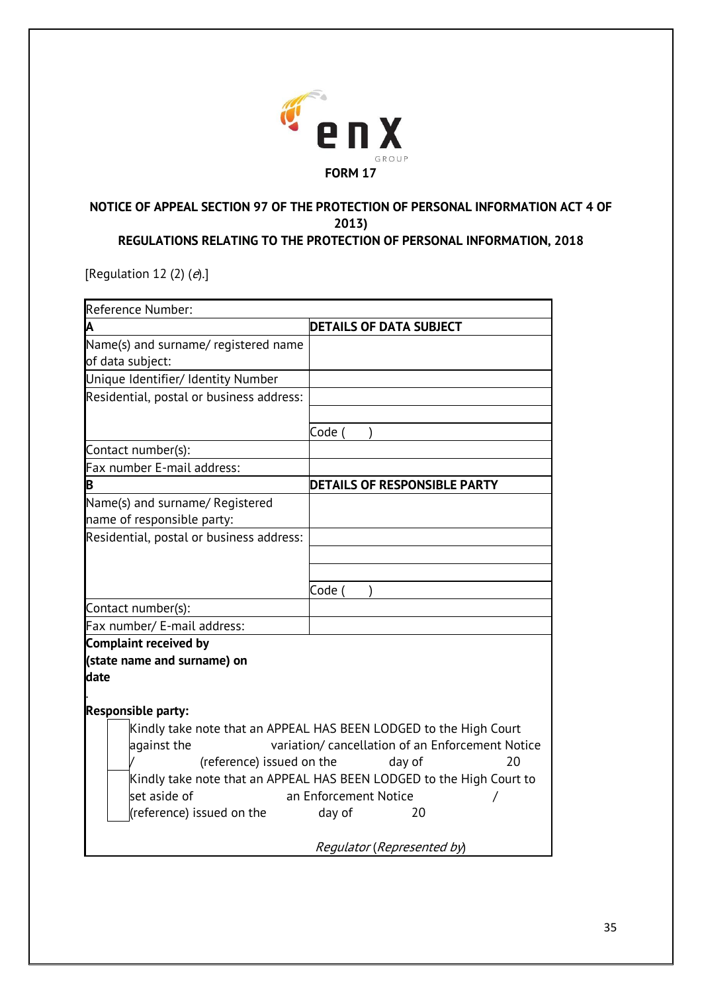

# **NOTICE OF APPEAL SECTION 97 OF THE PROTECTION OF PERSONAL INFORMATION ACT 4 OF 2013) REGULATIONS RELATING TO THE PROTECTION OF PERSONAL INFORMATION, 2018**

[Regulation 12 (2)  $(e)$ .]

| Reference Number:                                                    |                                                                   |  |  |  |
|----------------------------------------------------------------------|-------------------------------------------------------------------|--|--|--|
| A                                                                    | <b>DETAILS OF DATA SUBJECT</b>                                    |  |  |  |
| Name(s) and surname/ registered name                                 |                                                                   |  |  |  |
| of data subject:                                                     |                                                                   |  |  |  |
| Unique Identifier/ Identity Number                                   |                                                                   |  |  |  |
| Residential, postal or business address:                             |                                                                   |  |  |  |
|                                                                      | Code (                                                            |  |  |  |
| Contact number(s):                                                   |                                                                   |  |  |  |
| Fax number E-mail address:                                           |                                                                   |  |  |  |
| B                                                                    | <b>DETAILS OF RESPONSIBLE PARTY</b>                               |  |  |  |
| Name(s) and surname/ Registered                                      |                                                                   |  |  |  |
| name of responsible party:                                           |                                                                   |  |  |  |
| Residential, postal or business address:                             |                                                                   |  |  |  |
|                                                                      |                                                                   |  |  |  |
|                                                                      |                                                                   |  |  |  |
|                                                                      | Code (                                                            |  |  |  |
| Contact number(s):                                                   |                                                                   |  |  |  |
| Fax number/ E-mail address:                                          |                                                                   |  |  |  |
| Complaint received by                                                |                                                                   |  |  |  |
| (state name and surname) on                                          |                                                                   |  |  |  |
| date                                                                 |                                                                   |  |  |  |
|                                                                      |                                                                   |  |  |  |
| <b>Responsible party:</b>                                            |                                                                   |  |  |  |
|                                                                      | Kindly take note that an APPEAL HAS BEEN LODGED to the High Court |  |  |  |
| variation/ cancellation of an Enforcement Notice<br>against the      |                                                                   |  |  |  |
| (reference) issued on the<br>20<br>day of                            |                                                                   |  |  |  |
| Kindly take note that an APPEAL HAS BEEN LODGED to the High Court to |                                                                   |  |  |  |
| set aside of<br>an Enforcement Notice                                |                                                                   |  |  |  |
| (reference) issued on the                                            | day of<br>20                                                      |  |  |  |
|                                                                      | Regulator (Represented by)                                        |  |  |  |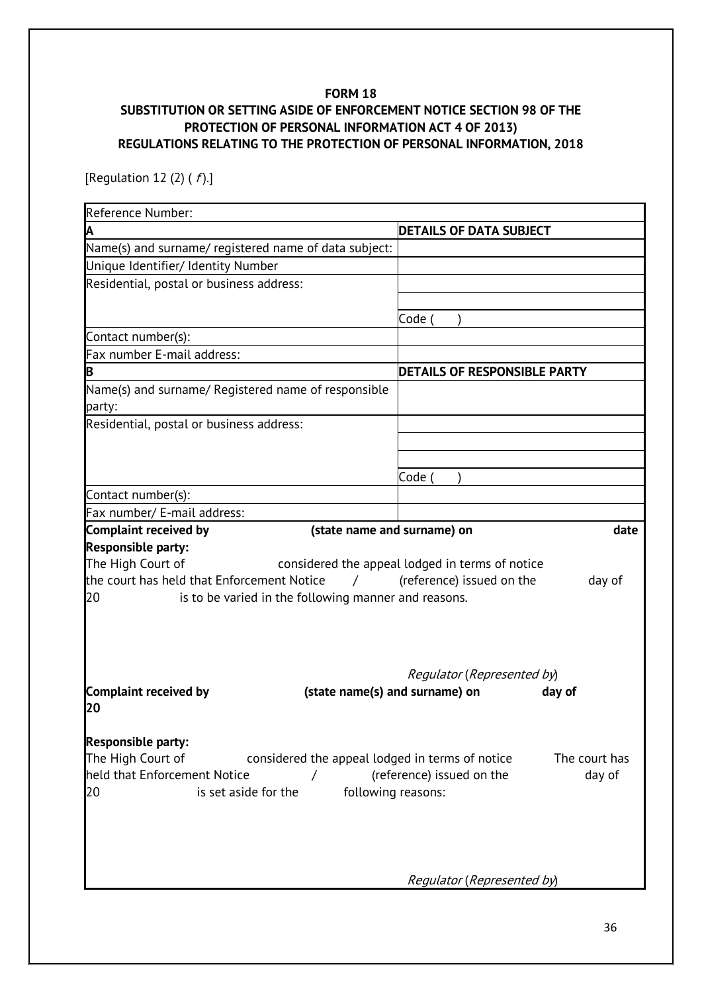# **FORM 18 SUBSTITUTION OR SETTING ASIDE OF ENFORCEMENT NOTICE SECTION 98 OF THE PROTECTION OF PERSONAL INFORMATION ACT 4 OF 2013) REGULATIONS RELATING TO THE PROTECTION OF PERSONAL INFORMATION, 2018**

[Regulation 12 (2) ( $f$ ).]

| Reference Number:                                                                                                                                               |                                                                                        |
|-----------------------------------------------------------------------------------------------------------------------------------------------------------------|----------------------------------------------------------------------------------------|
| A                                                                                                                                                               | <b>DETAILS OF DATA SUBJECT</b>                                                         |
| Name(s) and surname/ registered name of data subject:                                                                                                           |                                                                                        |
| Unique Identifier/ Identity Number                                                                                                                              |                                                                                        |
| Residential, postal or business address:                                                                                                                        |                                                                                        |
|                                                                                                                                                                 |                                                                                        |
|                                                                                                                                                                 | Code (                                                                                 |
| Contact number(s):                                                                                                                                              |                                                                                        |
| Fax number E-mail address:                                                                                                                                      |                                                                                        |
| B                                                                                                                                                               | <b>DETAILS OF RESPONSIBLE PARTY</b>                                                    |
| Name(s) and surname/ Registered name of responsible<br>party:                                                                                                   |                                                                                        |
| Residential, postal or business address:                                                                                                                        |                                                                                        |
|                                                                                                                                                                 |                                                                                        |
|                                                                                                                                                                 |                                                                                        |
|                                                                                                                                                                 | Code (                                                                                 |
| Contact number(s):                                                                                                                                              |                                                                                        |
| Fax number/ E-mail address:                                                                                                                                     |                                                                                        |
| <b>Complaint received by</b><br>(state name and surname) on                                                                                                     | date                                                                                   |
| The High Court of<br>the court has held that Enforcement Notice<br>$\overline{1}$<br>is to be varied in the following manner and reasons.<br>20                 | considered the appeal lodged in terms of notice<br>(reference) issued on the<br>day of |
| Complaint received by<br>20                                                                                                                                     | Regulator (Represented by)<br>(state name(s) and surname) on<br>day of                 |
| <b>Responsible party:</b><br>The High Court of<br>considered the appeal lodged in terms of notice<br>held that Enforcement Notice<br>20<br>is set aside for the | The court has<br>(reference) issued on the<br>day of<br>following reasons:             |
|                                                                                                                                                                 | Regulator (Represented by)                                                             |
|                                                                                                                                                                 |                                                                                        |